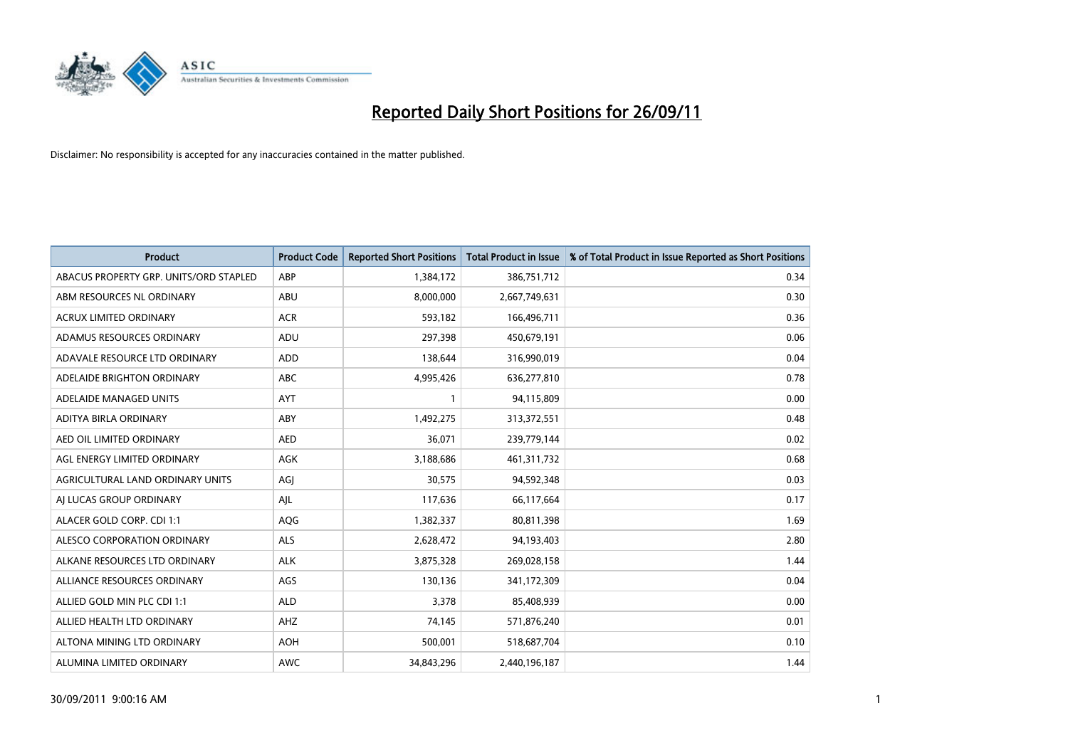

| <b>Product</b>                         | <b>Product Code</b> | <b>Reported Short Positions</b> | <b>Total Product in Issue</b> | % of Total Product in Issue Reported as Short Positions |
|----------------------------------------|---------------------|---------------------------------|-------------------------------|---------------------------------------------------------|
| ABACUS PROPERTY GRP. UNITS/ORD STAPLED | ABP                 | 1,384,172                       | 386,751,712                   | 0.34                                                    |
| ABM RESOURCES NL ORDINARY              | ABU                 | 8,000,000                       | 2,667,749,631                 | 0.30                                                    |
| <b>ACRUX LIMITED ORDINARY</b>          | <b>ACR</b>          | 593,182                         | 166,496,711                   | 0.36                                                    |
| ADAMUS RESOURCES ORDINARY              | ADU                 | 297,398                         | 450,679,191                   | 0.06                                                    |
| ADAVALE RESOURCE LTD ORDINARY          | ADD                 | 138,644                         | 316,990,019                   | 0.04                                                    |
| ADELAIDE BRIGHTON ORDINARY             | <b>ABC</b>          | 4,995,426                       | 636,277,810                   | 0.78                                                    |
| ADELAIDE MANAGED UNITS                 | <b>AYT</b>          |                                 | 94,115,809                    | 0.00                                                    |
| ADITYA BIRLA ORDINARY                  | ABY                 | 1,492,275                       | 313,372,551                   | 0.48                                                    |
| AED OIL LIMITED ORDINARY               | <b>AED</b>          | 36,071                          | 239,779,144                   | 0.02                                                    |
| AGL ENERGY LIMITED ORDINARY            | <b>AGK</b>          | 3,188,686                       | 461,311,732                   | 0.68                                                    |
| AGRICULTURAL LAND ORDINARY UNITS       | AGJ                 | 30,575                          | 94,592,348                    | 0.03                                                    |
| AI LUCAS GROUP ORDINARY                | AJL                 | 117,636                         | 66,117,664                    | 0.17                                                    |
| ALACER GOLD CORP. CDI 1:1              | AQG                 | 1,382,337                       | 80,811,398                    | 1.69                                                    |
| ALESCO CORPORATION ORDINARY            | ALS                 | 2,628,472                       | 94,193,403                    | 2.80                                                    |
| ALKANE RESOURCES LTD ORDINARY          | <b>ALK</b>          | 3,875,328                       | 269,028,158                   | 1.44                                                    |
| ALLIANCE RESOURCES ORDINARY            | AGS                 | 130,136                         | 341,172,309                   | 0.04                                                    |
| ALLIED GOLD MIN PLC CDI 1:1            | <b>ALD</b>          | 3,378                           | 85,408,939                    | 0.00                                                    |
| ALLIED HEALTH LTD ORDINARY             | AHZ                 | 74,145                          | 571,876,240                   | 0.01                                                    |
| ALTONA MINING LTD ORDINARY             | <b>AOH</b>          | 500,001                         | 518,687,704                   | 0.10                                                    |
| ALUMINA LIMITED ORDINARY               | <b>AWC</b>          | 34,843,296                      | 2,440,196,187                 | 1.44                                                    |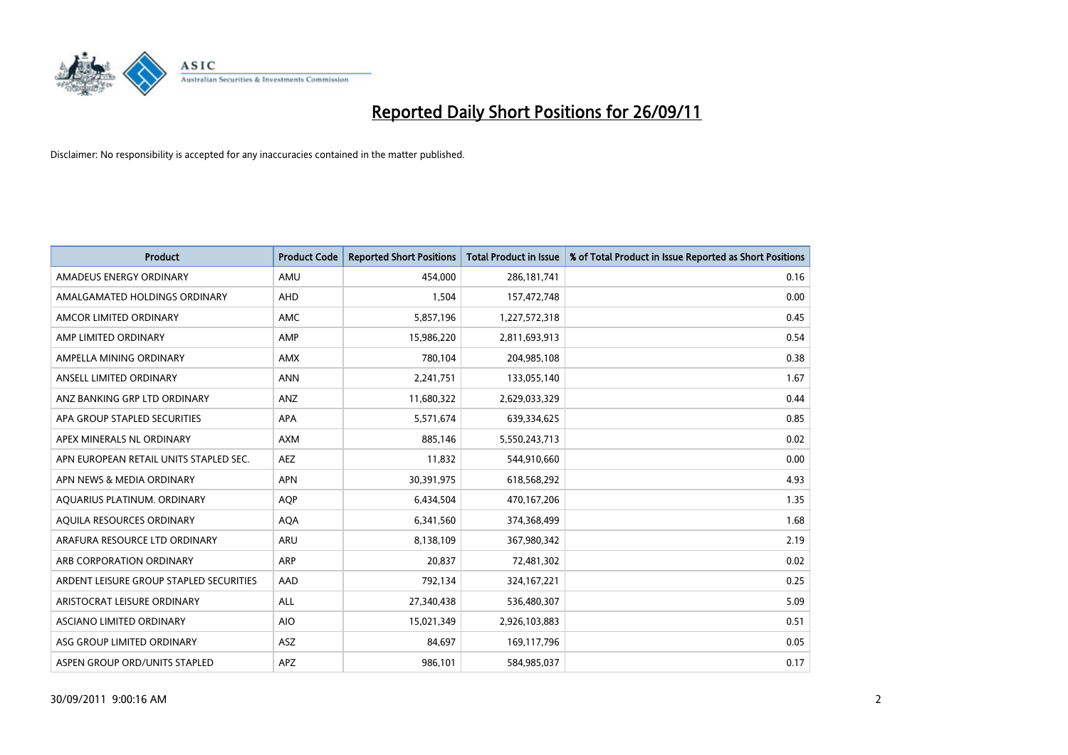

| <b>Product</b>                          | <b>Product Code</b> | <b>Reported Short Positions</b> | <b>Total Product in Issue</b> | % of Total Product in Issue Reported as Short Positions |
|-----------------------------------------|---------------------|---------------------------------|-------------------------------|---------------------------------------------------------|
| AMADEUS ENERGY ORDINARY                 | AMU                 | 454.000                         | 286, 181, 741                 | 0.16                                                    |
| AMALGAMATED HOLDINGS ORDINARY           | <b>AHD</b>          | 1,504                           | 157,472,748                   | 0.00                                                    |
| AMCOR LIMITED ORDINARY                  | <b>AMC</b>          | 5,857,196                       | 1,227,572,318                 | 0.45                                                    |
| AMP LIMITED ORDINARY                    | AMP                 | 15,986,220                      | 2,811,693,913                 | 0.54                                                    |
| AMPELLA MINING ORDINARY                 | <b>AMX</b>          | 780,104                         | 204,985,108                   | 0.38                                                    |
| ANSELL LIMITED ORDINARY                 | <b>ANN</b>          | 2,241,751                       | 133,055,140                   | 1.67                                                    |
| ANZ BANKING GRP LTD ORDINARY            | ANZ                 | 11,680,322                      | 2,629,033,329                 | 0.44                                                    |
| APA GROUP STAPLED SECURITIES            | <b>APA</b>          | 5,571,674                       | 639,334,625                   | 0.85                                                    |
| APEX MINERALS NL ORDINARY               | <b>AXM</b>          | 885,146                         | 5,550,243,713                 | 0.02                                                    |
| APN EUROPEAN RETAIL UNITS STAPLED SEC.  | <b>AEZ</b>          | 11,832                          | 544,910,660                   | 0.00                                                    |
| APN NEWS & MEDIA ORDINARY               | <b>APN</b>          | 30,391,975                      | 618,568,292                   | 4.93                                                    |
| AQUARIUS PLATINUM. ORDINARY             | <b>AOP</b>          | 6,434,504                       | 470,167,206                   | 1.35                                                    |
| AQUILA RESOURCES ORDINARY               | <b>AQA</b>          | 6,341,560                       | 374,368,499                   | 1.68                                                    |
| ARAFURA RESOURCE LTD ORDINARY           | <b>ARU</b>          | 8,138,109                       | 367,980,342                   | 2.19                                                    |
| ARB CORPORATION ORDINARY                | <b>ARP</b>          | 20,837                          | 72,481,302                    | 0.02                                                    |
| ARDENT LEISURE GROUP STAPLED SECURITIES | AAD                 | 792,134                         | 324, 167, 221                 | 0.25                                                    |
| ARISTOCRAT LEISURE ORDINARY             | <b>ALL</b>          | 27,340,438                      | 536,480,307                   | 5.09                                                    |
| ASCIANO LIMITED ORDINARY                | <b>AIO</b>          | 15,021,349                      | 2,926,103,883                 | 0.51                                                    |
| ASG GROUP LIMITED ORDINARY              | <b>ASZ</b>          | 84,697                          | 169,117,796                   | 0.05                                                    |
| ASPEN GROUP ORD/UNITS STAPLED           | APZ                 | 986,101                         | 584,985,037                   | 0.17                                                    |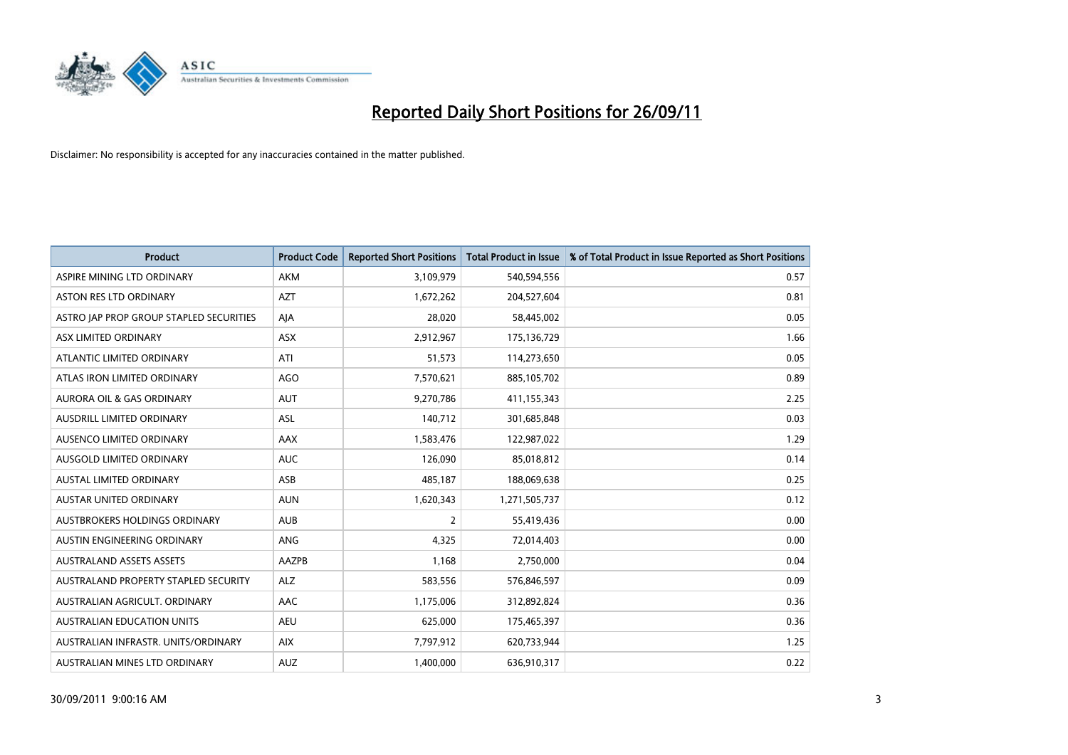

| <b>Product</b>                          | <b>Product Code</b> | <b>Reported Short Positions</b> | <b>Total Product in Issue</b> | % of Total Product in Issue Reported as Short Positions |
|-----------------------------------------|---------------------|---------------------------------|-------------------------------|---------------------------------------------------------|
| ASPIRE MINING LTD ORDINARY              | <b>AKM</b>          | 3,109,979                       | 540,594,556                   | 0.57                                                    |
| ASTON RES LTD ORDINARY                  | <b>AZT</b>          | 1,672,262                       | 204,527,604                   | 0.81                                                    |
| ASTRO JAP PROP GROUP STAPLED SECURITIES | AJA                 | 28,020                          | 58,445,002                    | 0.05                                                    |
| ASX LIMITED ORDINARY                    | ASX                 | 2,912,967                       | 175,136,729                   | 1.66                                                    |
| ATLANTIC LIMITED ORDINARY               | ATI                 | 51,573                          | 114,273,650                   | 0.05                                                    |
| ATLAS IRON LIMITED ORDINARY             | <b>AGO</b>          | 7,570,621                       | 885,105,702                   | 0.89                                                    |
| AURORA OIL & GAS ORDINARY               | <b>AUT</b>          | 9,270,786                       | 411,155,343                   | 2.25                                                    |
| AUSDRILL LIMITED ORDINARY               | <b>ASL</b>          | 140,712                         | 301,685,848                   | 0.03                                                    |
| AUSENCO LIMITED ORDINARY                | AAX                 | 1,583,476                       | 122,987,022                   | 1.29                                                    |
| AUSGOLD LIMITED ORDINARY                | <b>AUC</b>          | 126,090                         | 85,018,812                    | 0.14                                                    |
| AUSTAL LIMITED ORDINARY                 | ASB                 | 485,187                         | 188,069,638                   | 0.25                                                    |
| <b>AUSTAR UNITED ORDINARY</b>           | <b>AUN</b>          | 1,620,343                       | 1,271,505,737                 | 0.12                                                    |
| AUSTBROKERS HOLDINGS ORDINARY           | <b>AUB</b>          | $\overline{2}$                  | 55,419,436                    | 0.00                                                    |
| AUSTIN ENGINEERING ORDINARY             | ANG                 | 4,325                           | 72,014,403                    | 0.00                                                    |
| <b>AUSTRALAND ASSETS ASSETS</b>         | AAZPB               | 1,168                           | 2,750,000                     | 0.04                                                    |
| AUSTRALAND PROPERTY STAPLED SECURITY    | <b>ALZ</b>          | 583,556                         | 576,846,597                   | 0.09                                                    |
| AUSTRALIAN AGRICULT. ORDINARY           | AAC                 | 1,175,006                       | 312,892,824                   | 0.36                                                    |
| AUSTRALIAN EDUCATION UNITS              | <b>AEU</b>          | 625,000                         | 175,465,397                   | 0.36                                                    |
| AUSTRALIAN INFRASTR, UNITS/ORDINARY     | <b>AIX</b>          | 7,797,912                       | 620,733,944                   | 1.25                                                    |
| AUSTRALIAN MINES LTD ORDINARY           | <b>AUZ</b>          | 1,400,000                       | 636,910,317                   | 0.22                                                    |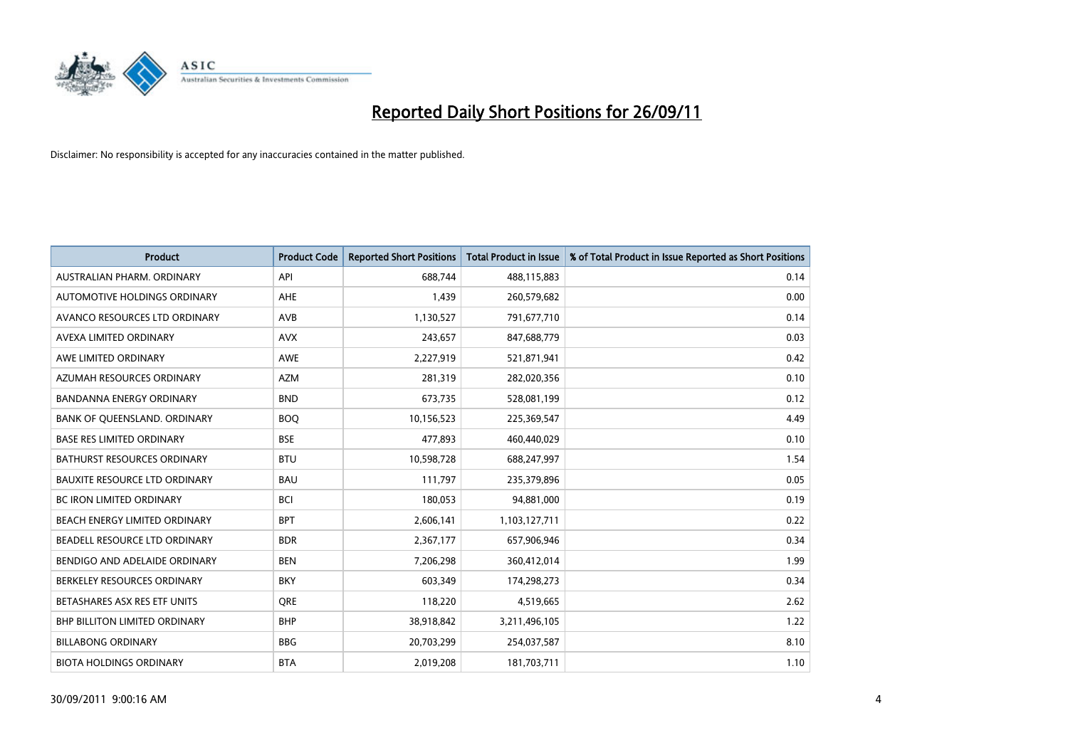

| <b>Product</b>                       | <b>Product Code</b> | <b>Reported Short Positions</b> | <b>Total Product in Issue</b> | % of Total Product in Issue Reported as Short Positions |
|--------------------------------------|---------------------|---------------------------------|-------------------------------|---------------------------------------------------------|
| AUSTRALIAN PHARM, ORDINARY           | API                 | 688,744                         | 488,115,883                   | 0.14                                                    |
| AUTOMOTIVE HOLDINGS ORDINARY         | <b>AHE</b>          | 1,439                           | 260,579,682                   | 0.00                                                    |
| AVANCO RESOURCES LTD ORDINARY        | AVB                 | 1,130,527                       | 791,677,710                   | 0.14                                                    |
| AVEXA LIMITED ORDINARY               | <b>AVX</b>          | 243,657                         | 847,688,779                   | 0.03                                                    |
| AWE LIMITED ORDINARY                 | <b>AWE</b>          | 2,227,919                       | 521,871,941                   | 0.42                                                    |
| AZUMAH RESOURCES ORDINARY            | <b>AZM</b>          | 281,319                         | 282,020,356                   | 0.10                                                    |
| <b>BANDANNA ENERGY ORDINARY</b>      | <b>BND</b>          | 673,735                         | 528,081,199                   | 0.12                                                    |
| BANK OF QUEENSLAND. ORDINARY         | <b>BOQ</b>          | 10,156,523                      | 225,369,547                   | 4.49                                                    |
| <b>BASE RES LIMITED ORDINARY</b>     | <b>BSE</b>          | 477,893                         | 460,440,029                   | 0.10                                                    |
| <b>BATHURST RESOURCES ORDINARY</b>   | <b>BTU</b>          | 10,598,728                      | 688,247,997                   | 1.54                                                    |
| <b>BAUXITE RESOURCE LTD ORDINARY</b> | <b>BAU</b>          | 111,797                         | 235,379,896                   | 0.05                                                    |
| <b>BC IRON LIMITED ORDINARY</b>      | <b>BCI</b>          | 180,053                         | 94,881,000                    | 0.19                                                    |
| BEACH ENERGY LIMITED ORDINARY        | <b>BPT</b>          | 2,606,141                       | 1,103,127,711                 | 0.22                                                    |
| BEADELL RESOURCE LTD ORDINARY        | <b>BDR</b>          | 2,367,177                       | 657,906,946                   | 0.34                                                    |
| BENDIGO AND ADELAIDE ORDINARY        | <b>BEN</b>          | 7,206,298                       | 360,412,014                   | 1.99                                                    |
| BERKELEY RESOURCES ORDINARY          | <b>BKY</b>          | 603,349                         | 174,298,273                   | 0.34                                                    |
| BETASHARES ASX RES ETF UNITS         | <b>ORE</b>          | 118,220                         | 4,519,665                     | 2.62                                                    |
| BHP BILLITON LIMITED ORDINARY        | <b>BHP</b>          | 38,918,842                      | 3,211,496,105                 | 1.22                                                    |
| <b>BILLABONG ORDINARY</b>            | <b>BBG</b>          | 20,703,299                      | 254,037,587                   | 8.10                                                    |
| <b>BIOTA HOLDINGS ORDINARY</b>       | <b>BTA</b>          | 2,019,208                       | 181,703,711                   | 1.10                                                    |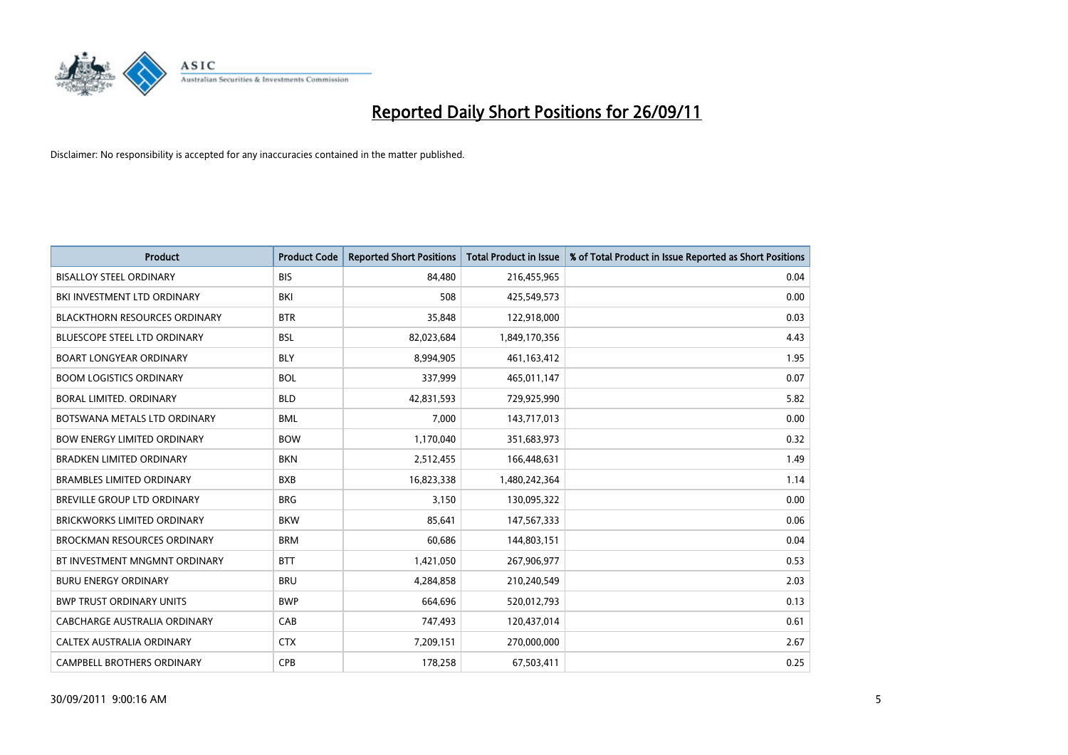

| <b>Product</b>                       | <b>Product Code</b> | <b>Reported Short Positions</b> | <b>Total Product in Issue</b> | % of Total Product in Issue Reported as Short Positions |
|--------------------------------------|---------------------|---------------------------------|-------------------------------|---------------------------------------------------------|
| <b>BISALLOY STEEL ORDINARY</b>       | <b>BIS</b>          | 84.480                          | 216,455,965                   | 0.04                                                    |
| BKI INVESTMENT LTD ORDINARY          | BKI                 | 508                             | 425,549,573                   | 0.00                                                    |
| <b>BLACKTHORN RESOURCES ORDINARY</b> | <b>BTR</b>          | 35,848                          | 122,918,000                   | 0.03                                                    |
| BLUESCOPE STEEL LTD ORDINARY         | <b>BSL</b>          | 82,023,684                      | 1,849,170,356                 | 4.43                                                    |
| <b>BOART LONGYEAR ORDINARY</b>       | <b>BLY</b>          | 8,994,905                       | 461,163,412                   | 1.95                                                    |
| <b>BOOM LOGISTICS ORDINARY</b>       | <b>BOL</b>          | 337,999                         | 465,011,147                   | 0.07                                                    |
| BORAL LIMITED, ORDINARY              | <b>BLD</b>          | 42,831,593                      | 729,925,990                   | 5.82                                                    |
| BOTSWANA METALS LTD ORDINARY         | <b>BML</b>          | 7,000                           | 143,717,013                   | 0.00                                                    |
| <b>BOW ENERGY LIMITED ORDINARY</b>   | <b>BOW</b>          | 1,170,040                       | 351,683,973                   | 0.32                                                    |
| <b>BRADKEN LIMITED ORDINARY</b>      | <b>BKN</b>          | 2,512,455                       | 166,448,631                   | 1.49                                                    |
| <b>BRAMBLES LIMITED ORDINARY</b>     | <b>BXB</b>          | 16,823,338                      | 1,480,242,364                 | 1.14                                                    |
| <b>BREVILLE GROUP LTD ORDINARY</b>   | <b>BRG</b>          | 3,150                           | 130,095,322                   | 0.00                                                    |
| <b>BRICKWORKS LIMITED ORDINARY</b>   | <b>BKW</b>          | 85.641                          | 147,567,333                   | 0.06                                                    |
| <b>BROCKMAN RESOURCES ORDINARY</b>   | <b>BRM</b>          | 60,686                          | 144,803,151                   | 0.04                                                    |
| BT INVESTMENT MNGMNT ORDINARY        | <b>BTT</b>          | 1,421,050                       | 267,906,977                   | 0.53                                                    |
| <b>BURU ENERGY ORDINARY</b>          | <b>BRU</b>          | 4,284,858                       | 210,240,549                   | 2.03                                                    |
| <b>BWP TRUST ORDINARY UNITS</b>      | <b>BWP</b>          | 664,696                         | 520,012,793                   | 0.13                                                    |
| CABCHARGE AUSTRALIA ORDINARY         | CAB                 | 747,493                         | 120,437,014                   | 0.61                                                    |
| CALTEX AUSTRALIA ORDINARY            | <b>CTX</b>          | 7,209,151                       | 270,000,000                   | 2.67                                                    |
| CAMPBELL BROTHERS ORDINARY           | CPB                 | 178,258                         | 67,503,411                    | 0.25                                                    |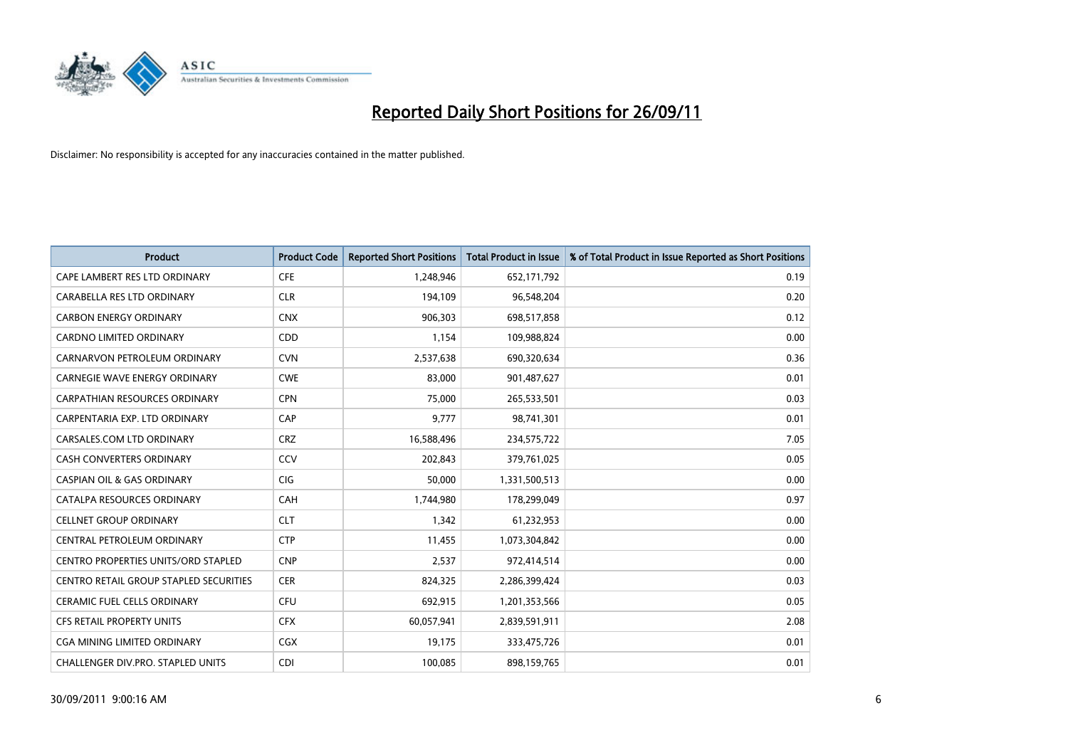

| <b>Product</b>                             | <b>Product Code</b> | <b>Reported Short Positions</b> | <b>Total Product in Issue</b> | % of Total Product in Issue Reported as Short Positions |
|--------------------------------------------|---------------------|---------------------------------|-------------------------------|---------------------------------------------------------|
| CAPE LAMBERT RES LTD ORDINARY              | <b>CFE</b>          | 1,248,946                       | 652,171,792                   | 0.19                                                    |
| CARABELLA RES LTD ORDINARY                 | <b>CLR</b>          | 194,109                         | 96,548,204                    | 0.20                                                    |
| <b>CARBON ENERGY ORDINARY</b>              | <b>CNX</b>          | 906,303                         | 698,517,858                   | 0.12                                                    |
| CARDNO LIMITED ORDINARY                    | CDD                 | 1,154                           | 109,988,824                   | 0.00                                                    |
| CARNARVON PETROLEUM ORDINARY               | <b>CVN</b>          | 2,537,638                       | 690,320,634                   | 0.36                                                    |
| <b>CARNEGIE WAVE ENERGY ORDINARY</b>       | <b>CWE</b>          | 83,000                          | 901,487,627                   | 0.01                                                    |
| <b>CARPATHIAN RESOURCES ORDINARY</b>       | <b>CPN</b>          | 75,000                          | 265,533,501                   | 0.03                                                    |
| CARPENTARIA EXP. LTD ORDINARY              | CAP                 | 9,777                           | 98,741,301                    | 0.01                                                    |
| CARSALES.COM LTD ORDINARY                  | <b>CRZ</b>          | 16,588,496                      | 234,575,722                   | 7.05                                                    |
| <b>CASH CONVERTERS ORDINARY</b>            | CCV                 | 202,843                         | 379,761,025                   | 0.05                                                    |
| <b>CASPIAN OIL &amp; GAS ORDINARY</b>      | <b>CIG</b>          | 50,000                          | 1,331,500,513                 | 0.00                                                    |
| CATALPA RESOURCES ORDINARY                 | <b>CAH</b>          | 1,744,980                       | 178,299,049                   | 0.97                                                    |
| <b>CELLNET GROUP ORDINARY</b>              | <b>CLT</b>          | 1,342                           | 61,232,953                    | 0.00                                                    |
| <b>CENTRAL PETROLEUM ORDINARY</b>          | <b>CTP</b>          | 11,455                          | 1,073,304,842                 | 0.00                                                    |
| <b>CENTRO PROPERTIES UNITS/ORD STAPLED</b> | <b>CNP</b>          | 2,537                           | 972,414,514                   | 0.00                                                    |
| CENTRO RETAIL GROUP STAPLED SECURITIES     | <b>CER</b>          | 824,325                         | 2,286,399,424                 | 0.03                                                    |
| <b>CERAMIC FUEL CELLS ORDINARY</b>         | <b>CFU</b>          | 692,915                         | 1,201,353,566                 | 0.05                                                    |
| CFS RETAIL PROPERTY UNITS                  | <b>CFX</b>          | 60,057,941                      | 2,839,591,911                 | 2.08                                                    |
| <b>CGA MINING LIMITED ORDINARY</b>         | <b>CGX</b>          | 19,175                          | 333,475,726                   | 0.01                                                    |
| CHALLENGER DIV.PRO. STAPLED UNITS          | CDI                 | 100,085                         | 898,159,765                   | 0.01                                                    |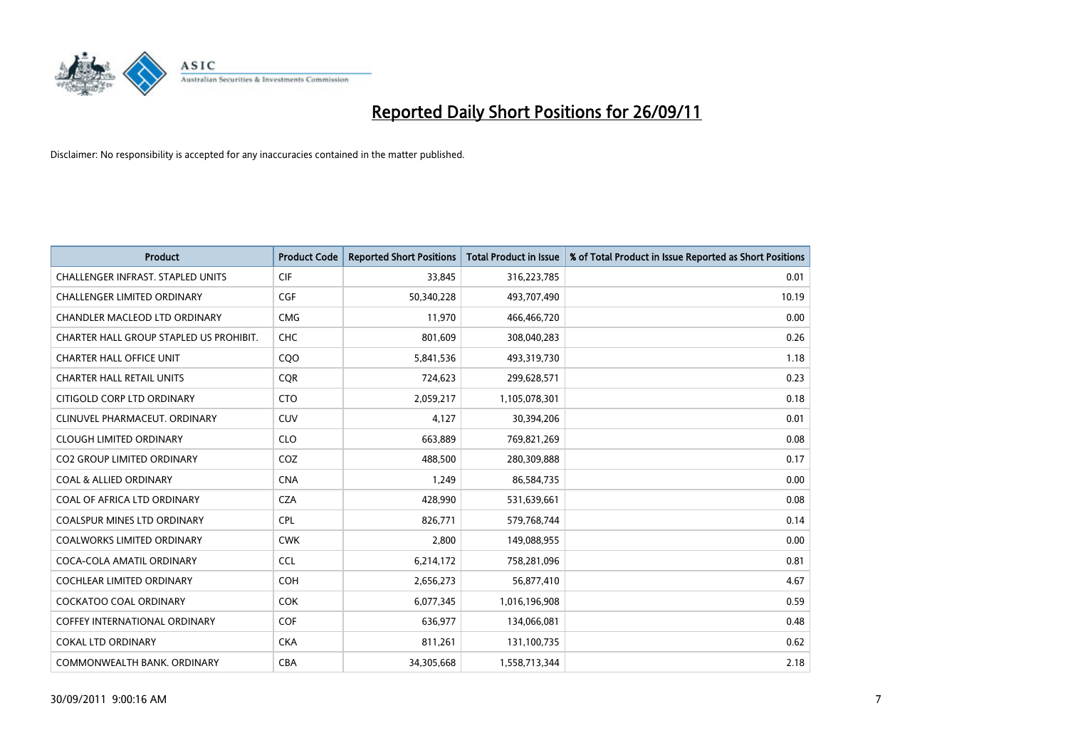

| <b>Product</b>                           | <b>Product Code</b> | <b>Reported Short Positions</b> | <b>Total Product in Issue</b> | % of Total Product in Issue Reported as Short Positions |
|------------------------------------------|---------------------|---------------------------------|-------------------------------|---------------------------------------------------------|
| <b>CHALLENGER INFRAST, STAPLED UNITS</b> | <b>CIF</b>          | 33,845                          | 316,223,785                   | 0.01                                                    |
| <b>CHALLENGER LIMITED ORDINARY</b>       | <b>CGF</b>          | 50,340,228                      | 493,707,490                   | 10.19                                                   |
| CHANDLER MACLEOD LTD ORDINARY            | <b>CMG</b>          | 11,970                          | 466,466,720                   | 0.00                                                    |
| CHARTER HALL GROUP STAPLED US PROHIBIT.  | <b>CHC</b>          | 801,609                         | 308,040,283                   | 0.26                                                    |
| <b>CHARTER HALL OFFICE UNIT</b>          | COO                 | 5,841,536                       | 493,319,730                   | 1.18                                                    |
| <b>CHARTER HALL RETAIL UNITS</b>         | <b>CQR</b>          | 724,623                         | 299,628,571                   | 0.23                                                    |
| CITIGOLD CORP LTD ORDINARY               | <b>CTO</b>          | 2,059,217                       | 1,105,078,301                 | 0.18                                                    |
| CLINUVEL PHARMACEUT, ORDINARY            | CUV                 | 4,127                           | 30,394,206                    | 0.01                                                    |
| <b>CLOUGH LIMITED ORDINARY</b>           | <b>CLO</b>          | 663,889                         | 769,821,269                   | 0.08                                                    |
| <b>CO2 GROUP LIMITED ORDINARY</b>        | COZ                 | 488,500                         | 280,309,888                   | 0.17                                                    |
| <b>COAL &amp; ALLIED ORDINARY</b>        | <b>CNA</b>          | 1,249                           | 86,584,735                    | 0.00                                                    |
| COAL OF AFRICA LTD ORDINARY              | <b>CZA</b>          | 428,990                         | 531,639,661                   | 0.08                                                    |
| <b>COALSPUR MINES LTD ORDINARY</b>       | <b>CPL</b>          | 826,771                         | 579,768,744                   | 0.14                                                    |
| <b>COALWORKS LIMITED ORDINARY</b>        | <b>CWK</b>          | 2,800                           | 149,088,955                   | 0.00                                                    |
| COCA-COLA AMATIL ORDINARY                | <b>CCL</b>          | 6,214,172                       | 758,281,096                   | 0.81                                                    |
| <b>COCHLEAR LIMITED ORDINARY</b>         | COH                 | 2,656,273                       | 56,877,410                    | 4.67                                                    |
| <b>COCKATOO COAL ORDINARY</b>            | <b>COK</b>          | 6,077,345                       | 1,016,196,908                 | 0.59                                                    |
| <b>COFFEY INTERNATIONAL ORDINARY</b>     | <b>COF</b>          | 636,977                         | 134,066,081                   | 0.48                                                    |
| <b>COKAL LTD ORDINARY</b>                | <b>CKA</b>          | 811,261                         | 131,100,735                   | 0.62                                                    |
| COMMONWEALTH BANK, ORDINARY              | <b>CBA</b>          | 34,305,668                      | 1,558,713,344                 | 2.18                                                    |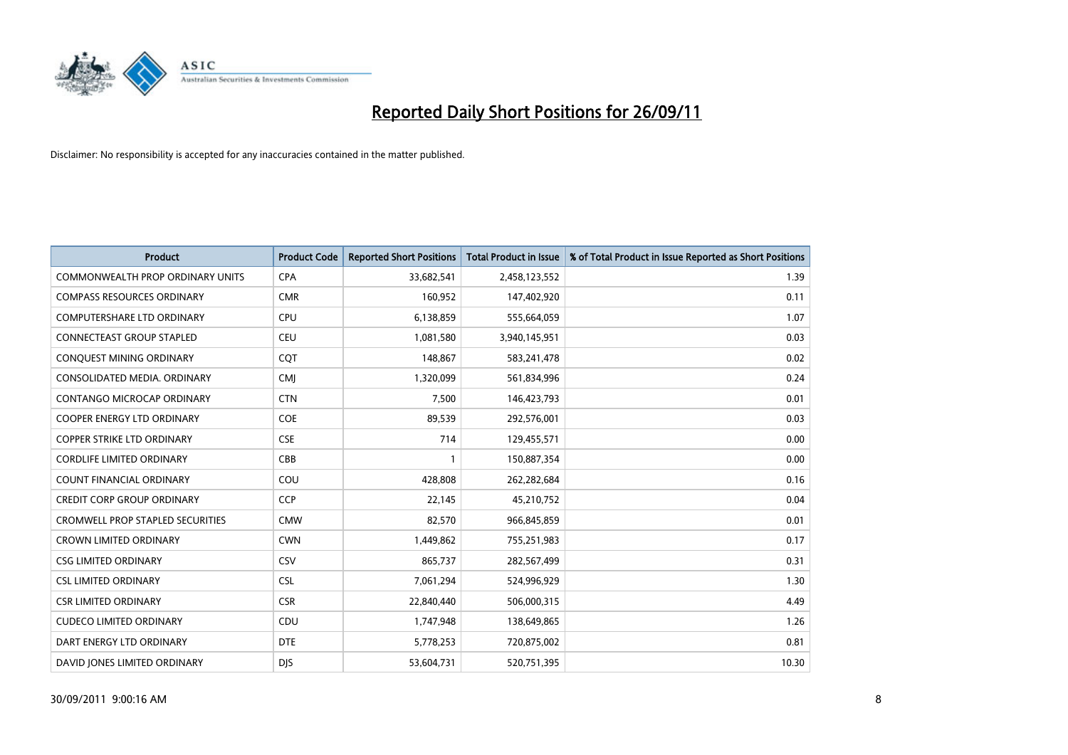

| <b>Product</b>                          | <b>Product Code</b> | <b>Reported Short Positions</b> | <b>Total Product in Issue</b> | % of Total Product in Issue Reported as Short Positions |
|-----------------------------------------|---------------------|---------------------------------|-------------------------------|---------------------------------------------------------|
| <b>COMMONWEALTH PROP ORDINARY UNITS</b> | <b>CPA</b>          | 33,682,541                      | 2,458,123,552                 | 1.39                                                    |
| <b>COMPASS RESOURCES ORDINARY</b>       | <b>CMR</b>          | 160,952                         | 147,402,920                   | 0.11                                                    |
| <b>COMPUTERSHARE LTD ORDINARY</b>       | <b>CPU</b>          | 6,138,859                       | 555,664,059                   | 1.07                                                    |
| CONNECTEAST GROUP STAPLED               | <b>CEU</b>          | 1,081,580                       | 3,940,145,951                 | 0.03                                                    |
| CONQUEST MINING ORDINARY                | COT                 | 148,867                         | 583,241,478                   | 0.02                                                    |
| CONSOLIDATED MEDIA, ORDINARY            | <b>CMJ</b>          | 1,320,099                       | 561,834,996                   | 0.24                                                    |
| <b>CONTANGO MICROCAP ORDINARY</b>       | <b>CTN</b>          | 7,500                           | 146,423,793                   | 0.01                                                    |
| COOPER ENERGY LTD ORDINARY              | <b>COE</b>          | 89,539                          | 292,576,001                   | 0.03                                                    |
| COPPER STRIKE LTD ORDINARY              | <b>CSE</b>          | 714                             | 129,455,571                   | 0.00                                                    |
| <b>CORDLIFE LIMITED ORDINARY</b>        | CBB                 |                                 | 150,887,354                   | 0.00                                                    |
| COUNT FINANCIAL ORDINARY                | COU                 | 428,808                         | 262,282,684                   | 0.16                                                    |
| <b>CREDIT CORP GROUP ORDINARY</b>       | <b>CCP</b>          | 22,145                          | 45,210,752                    | 0.04                                                    |
| <b>CROMWELL PROP STAPLED SECURITIES</b> | <b>CMW</b>          | 82,570                          | 966,845,859                   | 0.01                                                    |
| <b>CROWN LIMITED ORDINARY</b>           | <b>CWN</b>          | 1,449,862                       | 755,251,983                   | 0.17                                                    |
| <b>CSG LIMITED ORDINARY</b>             | CSV                 | 865,737                         | 282,567,499                   | 0.31                                                    |
| <b>CSL LIMITED ORDINARY</b>             | <b>CSL</b>          | 7,061,294                       | 524,996,929                   | 1.30                                                    |
| <b>CSR LIMITED ORDINARY</b>             | <b>CSR</b>          | 22,840,440                      | 506,000,315                   | 4.49                                                    |
| <b>CUDECO LIMITED ORDINARY</b>          | <b>CDU</b>          | 1,747,948                       | 138,649,865                   | 1.26                                                    |
| DART ENERGY LTD ORDINARY                | <b>DTE</b>          | 5,778,253                       | 720,875,002                   | 0.81                                                    |
| DAVID JONES LIMITED ORDINARY            | <b>DIS</b>          | 53,604,731                      | 520,751,395                   | 10.30                                                   |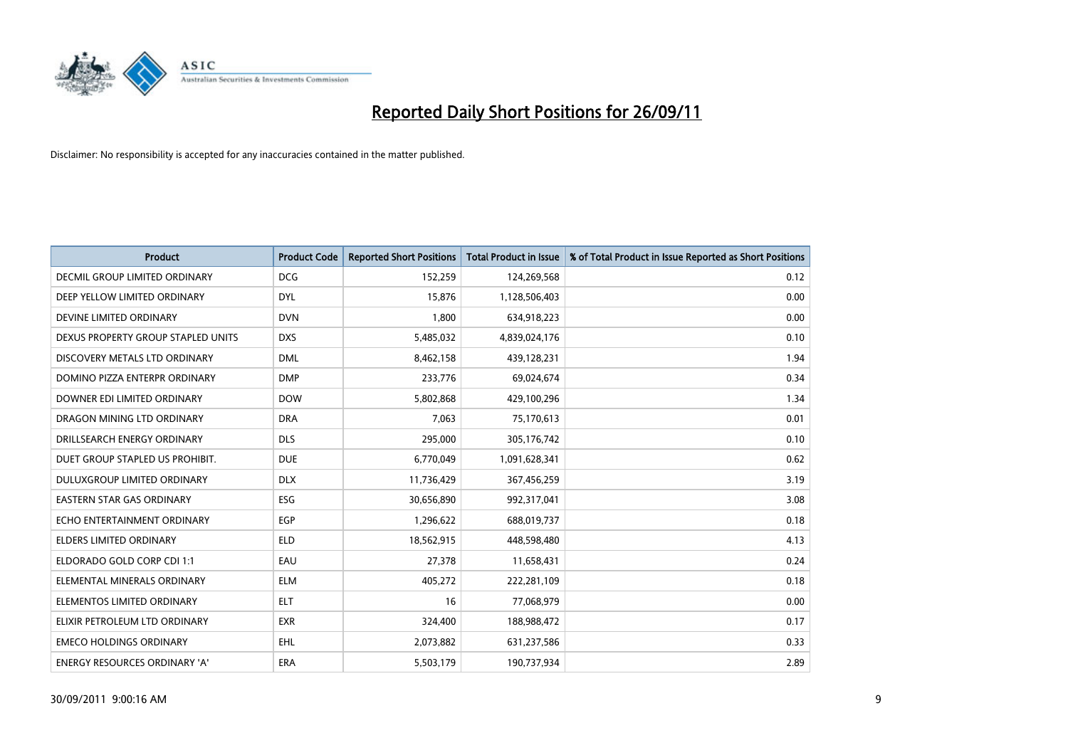

| <b>Product</b>                       | <b>Product Code</b> | <b>Reported Short Positions</b> | <b>Total Product in Issue</b> | % of Total Product in Issue Reported as Short Positions |
|--------------------------------------|---------------------|---------------------------------|-------------------------------|---------------------------------------------------------|
| <b>DECMIL GROUP LIMITED ORDINARY</b> | <b>DCG</b>          | 152,259                         | 124,269,568                   | 0.12                                                    |
| DEEP YELLOW LIMITED ORDINARY         | <b>DYL</b>          | 15,876                          | 1,128,506,403                 | 0.00                                                    |
| DEVINE LIMITED ORDINARY              | <b>DVN</b>          | 1,800                           | 634,918,223                   | 0.00                                                    |
| DEXUS PROPERTY GROUP STAPLED UNITS   | <b>DXS</b>          | 5,485,032                       | 4,839,024,176                 | 0.10                                                    |
| DISCOVERY METALS LTD ORDINARY        | <b>DML</b>          | 8,462,158                       | 439,128,231                   | 1.94                                                    |
| DOMINO PIZZA ENTERPR ORDINARY        | <b>DMP</b>          | 233,776                         | 69,024,674                    | 0.34                                                    |
| DOWNER EDI LIMITED ORDINARY          | <b>DOW</b>          | 5,802,868                       | 429,100,296                   | 1.34                                                    |
| DRAGON MINING LTD ORDINARY           | <b>DRA</b>          | 7,063                           | 75,170,613                    | 0.01                                                    |
| DRILLSEARCH ENERGY ORDINARY          | <b>DLS</b>          | 295,000                         | 305,176,742                   | 0.10                                                    |
| DUET GROUP STAPLED US PROHIBIT.      | <b>DUE</b>          | 6,770,049                       | 1,091,628,341                 | 0.62                                                    |
| DULUXGROUP LIMITED ORDINARY          | <b>DLX</b>          | 11,736,429                      | 367,456,259                   | 3.19                                                    |
| <b>EASTERN STAR GAS ORDINARY</b>     | <b>ESG</b>          | 30,656,890                      | 992,317,041                   | 3.08                                                    |
| ECHO ENTERTAINMENT ORDINARY          | <b>EGP</b>          | 1,296,622                       | 688,019,737                   | 0.18                                                    |
| <b>ELDERS LIMITED ORDINARY</b>       | <b>ELD</b>          | 18,562,915                      | 448,598,480                   | 4.13                                                    |
| ELDORADO GOLD CORP CDI 1:1           | EAU                 | 27,378                          | 11,658,431                    | 0.24                                                    |
| ELEMENTAL MINERALS ORDINARY          | <b>ELM</b>          | 405,272                         | 222,281,109                   | 0.18                                                    |
| ELEMENTOS LIMITED ORDINARY           | <b>ELT</b>          | 16                              | 77,068,979                    | 0.00                                                    |
| ELIXIR PETROLEUM LTD ORDINARY        | <b>EXR</b>          | 324,400                         | 188,988,472                   | 0.17                                                    |
| <b>EMECO HOLDINGS ORDINARY</b>       | <b>EHL</b>          | 2,073,882                       | 631,237,586                   | 0.33                                                    |
| ENERGY RESOURCES ORDINARY 'A'        | <b>ERA</b>          | 5,503,179                       | 190,737,934                   | 2.89                                                    |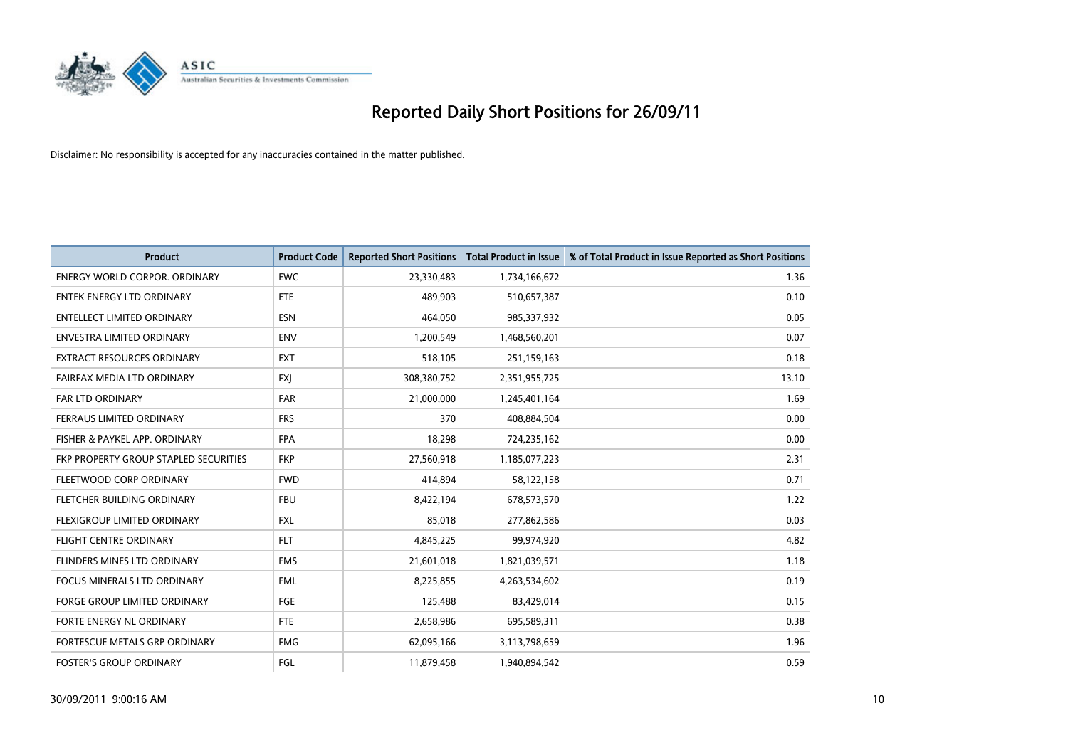

| <b>Product</b>                               | <b>Product Code</b> | <b>Reported Short Positions</b> | <b>Total Product in Issue</b> | % of Total Product in Issue Reported as Short Positions |
|----------------------------------------------|---------------------|---------------------------------|-------------------------------|---------------------------------------------------------|
| <b>ENERGY WORLD CORPOR, ORDINARY</b>         | <b>EWC</b>          | 23,330,483                      | 1,734,166,672                 | 1.36                                                    |
| ENTEK ENERGY LTD ORDINARY                    | ETE                 | 489,903                         | 510,657,387                   | 0.10                                                    |
| <b>ENTELLECT LIMITED ORDINARY</b>            | <b>ESN</b>          | 464,050                         | 985,337,932                   | 0.05                                                    |
| <b>ENVESTRA LIMITED ORDINARY</b>             | <b>ENV</b>          | 1,200,549                       | 1,468,560,201                 | 0.07                                                    |
| <b>EXTRACT RESOURCES ORDINARY</b>            | <b>EXT</b>          | 518,105                         | 251,159,163                   | 0.18                                                    |
| FAIRFAX MEDIA LTD ORDINARY                   | <b>FXI</b>          | 308,380,752                     | 2,351,955,725                 | 13.10                                                   |
| <b>FAR LTD ORDINARY</b>                      | <b>FAR</b>          | 21,000,000                      | 1,245,401,164                 | 1.69                                                    |
| FERRAUS LIMITED ORDINARY                     | <b>FRS</b>          | 370                             | 408,884,504                   | 0.00                                                    |
| FISHER & PAYKEL APP. ORDINARY                | <b>FPA</b>          | 18,298                          | 724,235,162                   | 0.00                                                    |
| <b>FKP PROPERTY GROUP STAPLED SECURITIES</b> | <b>FKP</b>          | 27,560,918                      | 1,185,077,223                 | 2.31                                                    |
| FLEETWOOD CORP ORDINARY                      | <b>FWD</b>          | 414,894                         | 58,122,158                    | 0.71                                                    |
| FLETCHER BUILDING ORDINARY                   | <b>FBU</b>          | 8,422,194                       | 678,573,570                   | 1.22                                                    |
| FLEXIGROUP LIMITED ORDINARY                  | <b>FXL</b>          | 85,018                          | 277,862,586                   | 0.03                                                    |
| <b>FLIGHT CENTRE ORDINARY</b>                | <b>FLT</b>          | 4,845,225                       | 99,974,920                    | 4.82                                                    |
| FLINDERS MINES LTD ORDINARY                  | <b>FMS</b>          | 21,601,018                      | 1,821,039,571                 | 1.18                                                    |
| <b>FOCUS MINERALS LTD ORDINARY</b>           | <b>FML</b>          | 8,225,855                       | 4,263,534,602                 | 0.19                                                    |
| <b>FORGE GROUP LIMITED ORDINARY</b>          | FGE                 | 125,488                         | 83,429,014                    | 0.15                                                    |
| FORTE ENERGY NL ORDINARY                     | <b>FTE</b>          | 2,658,986                       | 695,589,311                   | 0.38                                                    |
| FORTESCUE METALS GRP ORDINARY                | <b>FMG</b>          | 62,095,166                      | 3,113,798,659                 | 1.96                                                    |
| <b>FOSTER'S GROUP ORDINARY</b>               | FGL                 | 11,879,458                      | 1,940,894,542                 | 0.59                                                    |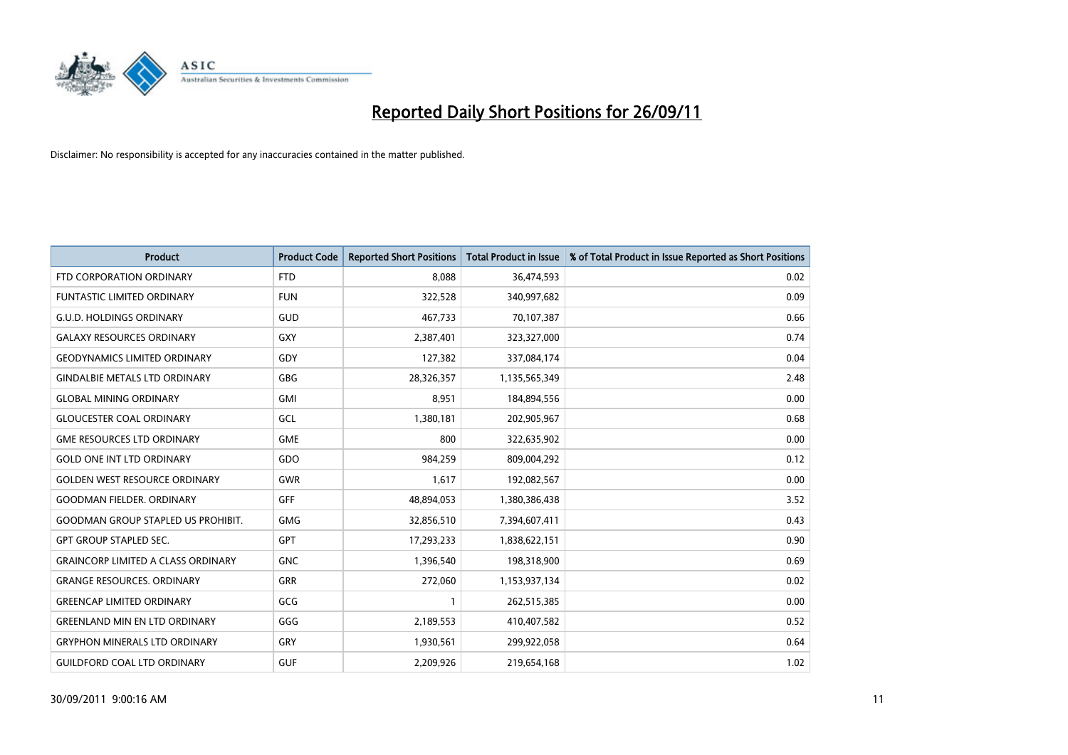

| <b>Product</b>                            | <b>Product Code</b> | <b>Reported Short Positions</b> | <b>Total Product in Issue</b> | % of Total Product in Issue Reported as Short Positions |
|-------------------------------------------|---------------------|---------------------------------|-------------------------------|---------------------------------------------------------|
| FTD CORPORATION ORDINARY                  | <b>FTD</b>          | 8.088                           | 36,474,593                    | 0.02                                                    |
| FUNTASTIC LIMITED ORDINARY                | <b>FUN</b>          | 322,528                         | 340,997,682                   | 0.09                                                    |
| <b>G.U.D. HOLDINGS ORDINARY</b>           | GUD                 | 467,733                         | 70,107,387                    | 0.66                                                    |
| <b>GALAXY RESOURCES ORDINARY</b>          | GXY                 | 2,387,401                       | 323,327,000                   | 0.74                                                    |
| <b>GEODYNAMICS LIMITED ORDINARY</b>       | GDY                 | 127,382                         | 337,084,174                   | 0.04                                                    |
| <b>GINDALBIE METALS LTD ORDINARY</b>      | GBG                 | 28,326,357                      | 1,135,565,349                 | 2.48                                                    |
| <b>GLOBAL MINING ORDINARY</b>             | <b>GMI</b>          | 8,951                           | 184,894,556                   | 0.00                                                    |
| <b>GLOUCESTER COAL ORDINARY</b>           | GCL                 | 1,380,181                       | 202,905,967                   | 0.68                                                    |
| <b>GME RESOURCES LTD ORDINARY</b>         | <b>GME</b>          | 800                             | 322,635,902                   | 0.00                                                    |
| <b>GOLD ONE INT LTD ORDINARY</b>          | <b>GDO</b>          | 984,259                         | 809,004,292                   | 0.12                                                    |
| <b>GOLDEN WEST RESOURCE ORDINARY</b>      | <b>GWR</b>          | 1,617                           | 192,082,567                   | 0.00                                                    |
| <b>GOODMAN FIELDER, ORDINARY</b>          | <b>GFF</b>          | 48,894,053                      | 1,380,386,438                 | 3.52                                                    |
| <b>GOODMAN GROUP STAPLED US PROHIBIT.</b> | <b>GMG</b>          | 32,856,510                      | 7,394,607,411                 | 0.43                                                    |
| <b>GPT GROUP STAPLED SEC.</b>             | <b>GPT</b>          | 17,293,233                      | 1,838,622,151                 | 0.90                                                    |
| <b>GRAINCORP LIMITED A CLASS ORDINARY</b> | <b>GNC</b>          | 1,396,540                       | 198,318,900                   | 0.69                                                    |
| <b>GRANGE RESOURCES. ORDINARY</b>         | GRR                 | 272,060                         | 1,153,937,134                 | 0.02                                                    |
| <b>GREENCAP LIMITED ORDINARY</b>          | GCG                 |                                 | 262,515,385                   | 0.00                                                    |
| <b>GREENLAND MIN EN LTD ORDINARY</b>      | GGG                 | 2,189,553                       | 410,407,582                   | 0.52                                                    |
| <b>GRYPHON MINERALS LTD ORDINARY</b>      | <b>GRY</b>          | 1,930,561                       | 299,922,058                   | 0.64                                                    |
| <b>GUILDFORD COAL LTD ORDINARY</b>        | <b>GUF</b>          | 2,209,926                       | 219,654,168                   | 1.02                                                    |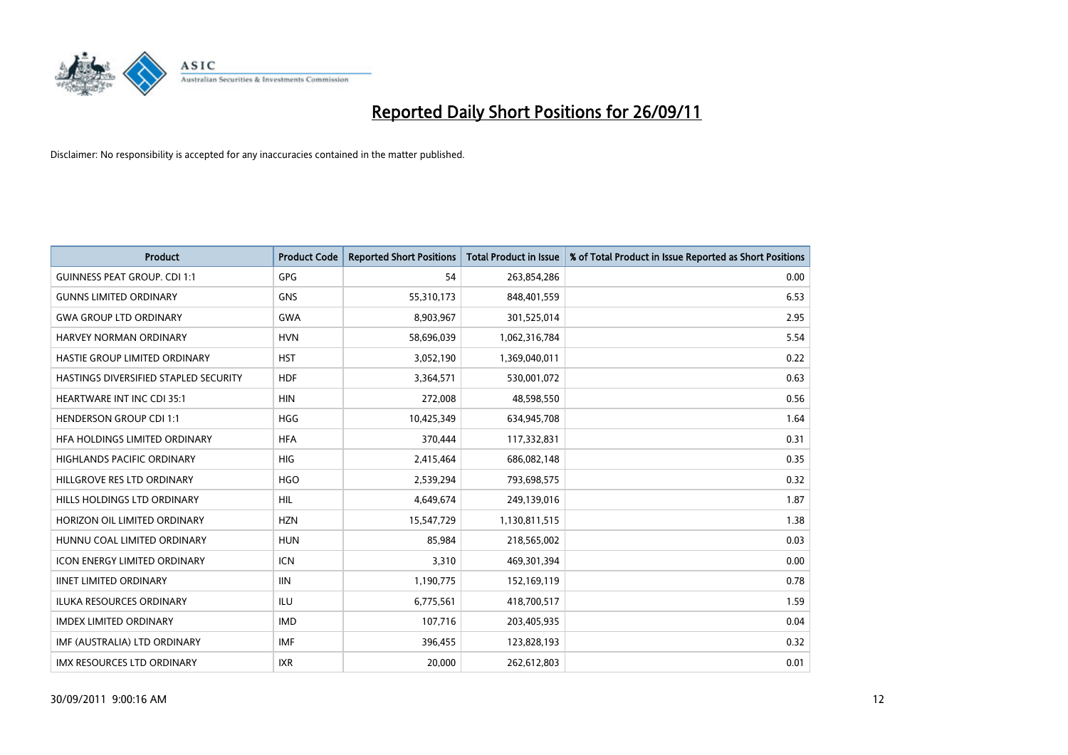

| <b>Product</b>                        | <b>Product Code</b> | <b>Reported Short Positions</b> | <b>Total Product in Issue</b> | % of Total Product in Issue Reported as Short Positions |
|---------------------------------------|---------------------|---------------------------------|-------------------------------|---------------------------------------------------------|
| <b>GUINNESS PEAT GROUP. CDI 1:1</b>   | <b>GPG</b>          | 54                              | 263,854,286                   | 0.00                                                    |
| <b>GUNNS LIMITED ORDINARY</b>         | <b>GNS</b>          | 55,310,173                      | 848,401,559                   | 6.53                                                    |
| <b>GWA GROUP LTD ORDINARY</b>         | <b>GWA</b>          | 8,903,967                       | 301,525,014                   | 2.95                                                    |
| HARVEY NORMAN ORDINARY                | <b>HVN</b>          | 58,696,039                      | 1,062,316,784                 | 5.54                                                    |
| HASTIE GROUP LIMITED ORDINARY         | <b>HST</b>          | 3,052,190                       | 1,369,040,011                 | 0.22                                                    |
| HASTINGS DIVERSIFIED STAPLED SECURITY | <b>HDF</b>          | 3,364,571                       | 530,001,072                   | 0.63                                                    |
| <b>HEARTWARE INT INC CDI 35:1</b>     | <b>HIN</b>          | 272,008                         | 48,598,550                    | 0.56                                                    |
| <b>HENDERSON GROUP CDI 1:1</b>        | <b>HGG</b>          | 10,425,349                      | 634,945,708                   | 1.64                                                    |
| HFA HOLDINGS LIMITED ORDINARY         | <b>HFA</b>          | 370,444                         | 117,332,831                   | 0.31                                                    |
| <b>HIGHLANDS PACIFIC ORDINARY</b>     | <b>HIG</b>          | 2,415,464                       | 686,082,148                   | 0.35                                                    |
| HILLGROVE RES LTD ORDINARY            | <b>HGO</b>          | 2,539,294                       | 793,698,575                   | 0.32                                                    |
| HILLS HOLDINGS LTD ORDINARY           | <b>HIL</b>          | 4,649,674                       | 249,139,016                   | 1.87                                                    |
| HORIZON OIL LIMITED ORDINARY          | <b>HZN</b>          | 15,547,729                      | 1,130,811,515                 | 1.38                                                    |
| HUNNU COAL LIMITED ORDINARY           | <b>HUN</b>          | 85,984                          | 218,565,002                   | 0.03                                                    |
| <b>ICON ENERGY LIMITED ORDINARY</b>   | <b>ICN</b>          | 3.310                           | 469,301,394                   | 0.00                                                    |
| <b>IINET LIMITED ORDINARY</b>         | <b>IIN</b>          | 1,190,775                       | 152,169,119                   | 0.78                                                    |
| ILUKA RESOURCES ORDINARY              | ILU                 | 6,775,561                       | 418,700,517                   | 1.59                                                    |
| <b>IMDEX LIMITED ORDINARY</b>         | <b>IMD</b>          | 107,716                         | 203,405,935                   | 0.04                                                    |
| IMF (AUSTRALIA) LTD ORDINARY          | <b>IMF</b>          | 396,455                         | 123,828,193                   | 0.32                                                    |
| IMX RESOURCES LTD ORDINARY            | <b>IXR</b>          | 20,000                          | 262,612,803                   | 0.01                                                    |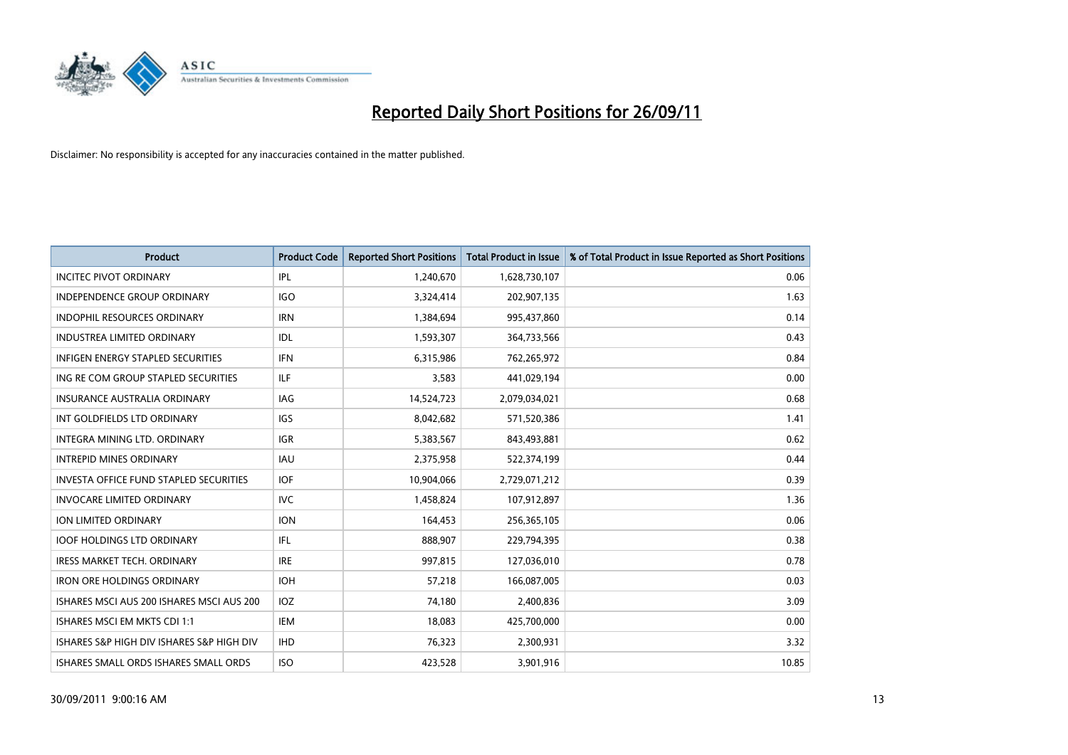

| <b>Product</b>                                | <b>Product Code</b> | <b>Reported Short Positions</b> | <b>Total Product in Issue</b> | % of Total Product in Issue Reported as Short Positions |
|-----------------------------------------------|---------------------|---------------------------------|-------------------------------|---------------------------------------------------------|
| <b>INCITEC PIVOT ORDINARY</b>                 | IPL                 | 1,240,670                       | 1,628,730,107                 | 0.06                                                    |
| <b>INDEPENDENCE GROUP ORDINARY</b>            | <b>IGO</b>          | 3,324,414                       | 202,907,135                   | 1.63                                                    |
| <b>INDOPHIL RESOURCES ORDINARY</b>            | <b>IRN</b>          | 1,384,694                       | 995,437,860                   | 0.14                                                    |
| INDUSTREA LIMITED ORDINARY                    | IDL                 | 1,593,307                       | 364,733,566                   | 0.43                                                    |
| <b>INFIGEN ENERGY STAPLED SECURITIES</b>      | <b>IFN</b>          | 6,315,986                       | 762,265,972                   | 0.84                                                    |
| ING RE COM GROUP STAPLED SECURITIES           | ILF.                | 3,583                           | 441,029,194                   | 0.00                                                    |
| <b>INSURANCE AUSTRALIA ORDINARY</b>           | <b>IAG</b>          | 14,524,723                      | 2,079,034,021                 | 0.68                                                    |
| INT GOLDFIELDS LTD ORDINARY                   | <b>IGS</b>          | 8,042,682                       | 571,520,386                   | 1.41                                                    |
| <b>INTEGRA MINING LTD, ORDINARY</b>           | <b>IGR</b>          | 5,383,567                       | 843,493,881                   | 0.62                                                    |
| <b>INTREPID MINES ORDINARY</b>                | <b>IAU</b>          | 2,375,958                       | 522,374,199                   | 0.44                                                    |
| <b>INVESTA OFFICE FUND STAPLED SECURITIES</b> | <b>IOF</b>          | 10,904,066                      | 2,729,071,212                 | 0.39                                                    |
| <b>INVOCARE LIMITED ORDINARY</b>              | IVC                 | 1,458,824                       | 107,912,897                   | 1.36                                                    |
| <b>ION LIMITED ORDINARY</b>                   | <b>ION</b>          | 164,453                         | 256,365,105                   | 0.06                                                    |
| <b>IOOF HOLDINGS LTD ORDINARY</b>             | <b>IFL</b>          | 888.907                         | 229,794,395                   | 0.38                                                    |
| <b>IRESS MARKET TECH. ORDINARY</b>            | <b>IRE</b>          | 997,815                         | 127,036,010                   | 0.78                                                    |
| <b>IRON ORE HOLDINGS ORDINARY</b>             | <b>IOH</b>          | 57,218                          | 166,087,005                   | 0.03                                                    |
| ISHARES MSCI AUS 200 ISHARES MSCI AUS 200     | <b>IOZ</b>          | 74,180                          | 2,400,836                     | 3.09                                                    |
| ISHARES MSCI EM MKTS CDI 1:1                  | IEM                 | 18,083                          | 425,700,000                   | 0.00                                                    |
| ISHARES S&P HIGH DIV ISHARES S&P HIGH DIV     | <b>IHD</b>          | 76,323                          | 2,300,931                     | 3.32                                                    |
| ISHARES SMALL ORDS ISHARES SMALL ORDS         | <b>ISO</b>          | 423,528                         | 3,901,916                     | 10.85                                                   |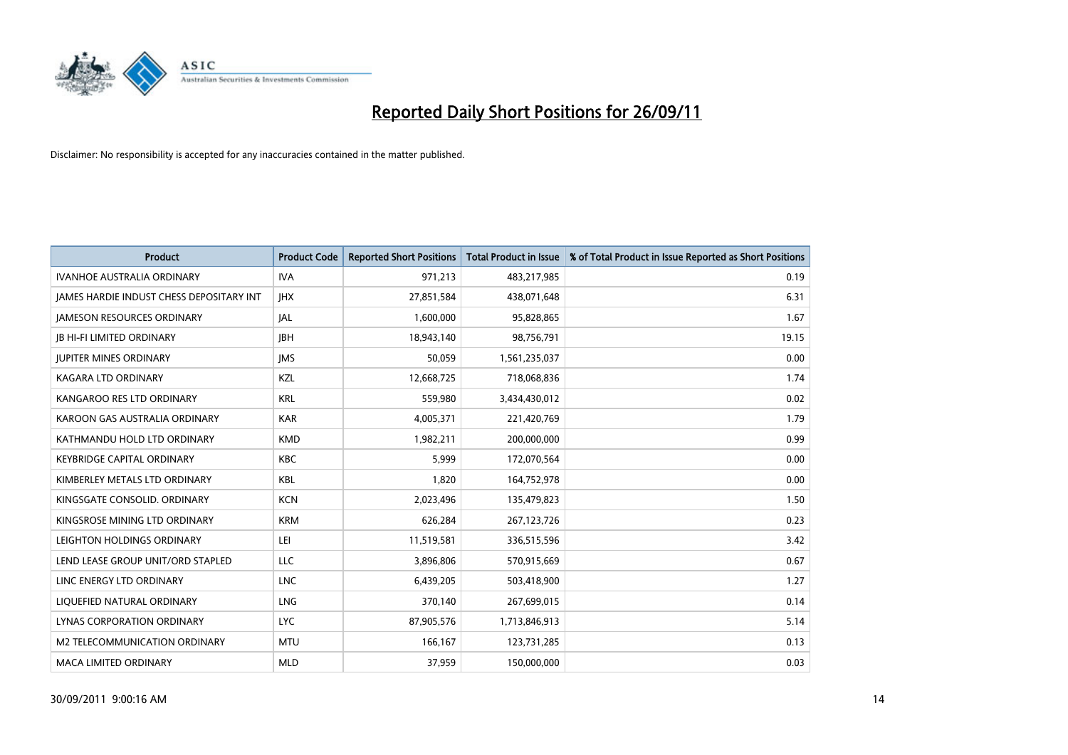

| <b>Product</b>                           | <b>Product Code</b> | <b>Reported Short Positions</b> | <b>Total Product in Issue</b> | % of Total Product in Issue Reported as Short Positions |
|------------------------------------------|---------------------|---------------------------------|-------------------------------|---------------------------------------------------------|
| <b>IVANHOE AUSTRALIA ORDINARY</b>        | <b>IVA</b>          | 971,213                         | 483,217,985                   | 0.19                                                    |
| JAMES HARDIE INDUST CHESS DEPOSITARY INT | <b>IHX</b>          | 27,851,584                      | 438,071,648                   | 6.31                                                    |
| <b>JAMESON RESOURCES ORDINARY</b>        | IAL                 | 1,600,000                       | 95,828,865                    | 1.67                                                    |
| <b>IB HI-FI LIMITED ORDINARY</b>         | <b>IBH</b>          | 18,943,140                      | 98,756,791                    | 19.15                                                   |
| <b>JUPITER MINES ORDINARY</b>            | <b>IMS</b>          | 50,059                          | 1,561,235,037                 | 0.00                                                    |
| <b>KAGARA LTD ORDINARY</b>               | KZL                 | 12,668,725                      | 718,068,836                   | 1.74                                                    |
| KANGAROO RES LTD ORDINARY                | <b>KRL</b>          | 559,980                         | 3,434,430,012                 | 0.02                                                    |
| KAROON GAS AUSTRALIA ORDINARY            | <b>KAR</b>          | 4,005,371                       | 221,420,769                   | 1.79                                                    |
| KATHMANDU HOLD LTD ORDINARY              | <b>KMD</b>          | 1,982,211                       | 200,000,000                   | 0.99                                                    |
| <b>KEYBRIDGE CAPITAL ORDINARY</b>        | <b>KBC</b>          | 5,999                           | 172,070,564                   | 0.00                                                    |
| KIMBERLEY METALS LTD ORDINARY            | <b>KBL</b>          | 1,820                           | 164,752,978                   | 0.00                                                    |
| KINGSGATE CONSOLID, ORDINARY             | <b>KCN</b>          | 2,023,496                       | 135,479,823                   | 1.50                                                    |
| KINGSROSE MINING LTD ORDINARY            | <b>KRM</b>          | 626,284                         | 267,123,726                   | 0.23                                                    |
| LEIGHTON HOLDINGS ORDINARY               | LEI                 | 11,519,581                      | 336,515,596                   | 3.42                                                    |
| LEND LEASE GROUP UNIT/ORD STAPLED        | <b>LLC</b>          | 3,896,806                       | 570,915,669                   | 0.67                                                    |
| LINC ENERGY LTD ORDINARY                 | <b>LNC</b>          | 6,439,205                       | 503,418,900                   | 1.27                                                    |
| LIQUEFIED NATURAL ORDINARY               | <b>LNG</b>          | 370,140                         | 267,699,015                   | 0.14                                                    |
| <b>LYNAS CORPORATION ORDINARY</b>        | <b>LYC</b>          | 87,905,576                      | 1,713,846,913                 | 5.14                                                    |
| M2 TELECOMMUNICATION ORDINARY            | <b>MTU</b>          | 166,167                         | 123,731,285                   | 0.13                                                    |
| MACA LIMITED ORDINARY                    | <b>MLD</b>          | 37,959                          | 150,000,000                   | 0.03                                                    |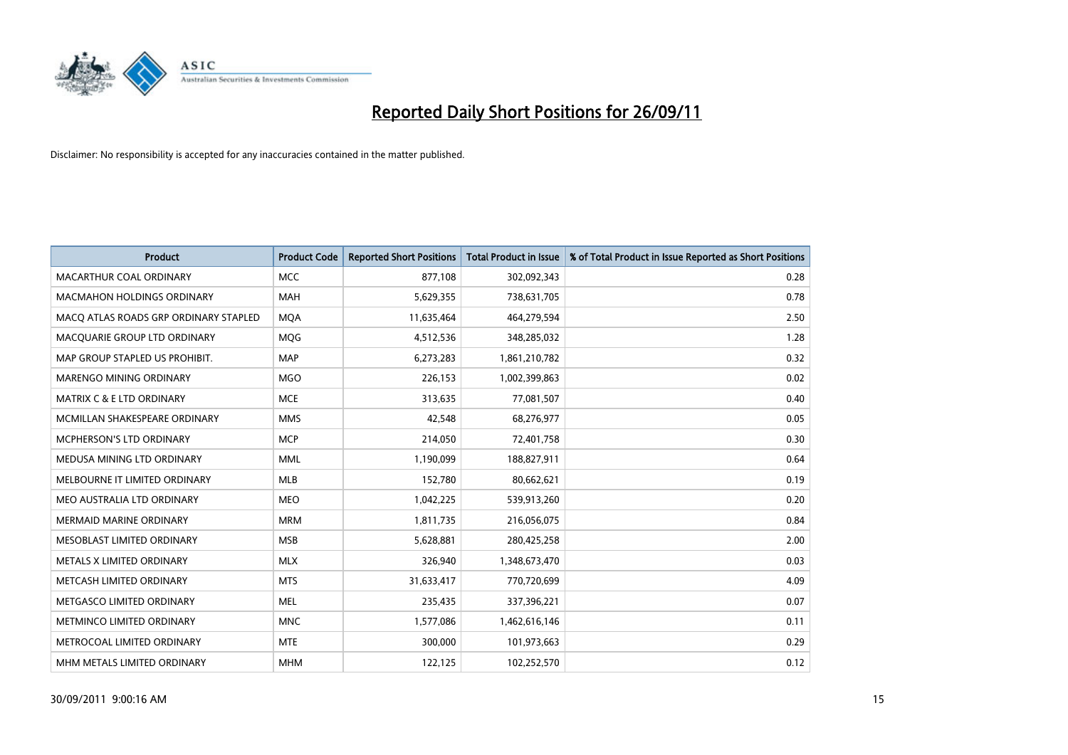

| <b>Product</b>                        | <b>Product Code</b> | <b>Reported Short Positions</b> | <b>Total Product in Issue</b> | % of Total Product in Issue Reported as Short Positions |
|---------------------------------------|---------------------|---------------------------------|-------------------------------|---------------------------------------------------------|
| MACARTHUR COAL ORDINARY               | <b>MCC</b>          | 877,108                         | 302,092,343                   | 0.28                                                    |
| <b>MACMAHON HOLDINGS ORDINARY</b>     | <b>MAH</b>          | 5,629,355                       | 738,631,705                   | 0.78                                                    |
| MACQ ATLAS ROADS GRP ORDINARY STAPLED | <b>MQA</b>          | 11,635,464                      | 464,279,594                   | 2.50                                                    |
| MACQUARIE GROUP LTD ORDINARY          | <b>MOG</b>          | 4,512,536                       | 348,285,032                   | 1.28                                                    |
| MAP GROUP STAPLED US PROHIBIT.        | <b>MAP</b>          | 6,273,283                       | 1,861,210,782                 | 0.32                                                    |
| <b>MARENGO MINING ORDINARY</b>        | <b>MGO</b>          | 226,153                         | 1,002,399,863                 | 0.02                                                    |
| MATRIX C & E LTD ORDINARY             | <b>MCE</b>          | 313,635                         | 77,081,507                    | 0.40                                                    |
| MCMILLAN SHAKESPEARE ORDINARY         | <b>MMS</b>          | 42,548                          | 68,276,977                    | 0.05                                                    |
| <b>MCPHERSON'S LTD ORDINARY</b>       | <b>MCP</b>          | 214,050                         | 72,401,758                    | 0.30                                                    |
| MEDUSA MINING LTD ORDINARY            | <b>MML</b>          | 1,190,099                       | 188,827,911                   | 0.64                                                    |
| MELBOURNE IT LIMITED ORDINARY         | <b>MLB</b>          | 152,780                         | 80,662,621                    | 0.19                                                    |
| MEO AUSTRALIA LTD ORDINARY            | <b>MEO</b>          | 1,042,225                       | 539,913,260                   | 0.20                                                    |
| <b>MERMAID MARINE ORDINARY</b>        | <b>MRM</b>          | 1,811,735                       | 216,056,075                   | 0.84                                                    |
| MESOBLAST LIMITED ORDINARY            | <b>MSB</b>          | 5,628,881                       | 280,425,258                   | 2.00                                                    |
| METALS X LIMITED ORDINARY             | <b>MLX</b>          | 326,940                         | 1,348,673,470                 | 0.03                                                    |
| METCASH LIMITED ORDINARY              | <b>MTS</b>          | 31,633,417                      | 770,720,699                   | 4.09                                                    |
| METGASCO LIMITED ORDINARY             | <b>MEL</b>          | 235,435                         | 337,396,221                   | 0.07                                                    |
| METMINCO LIMITED ORDINARY             | <b>MNC</b>          | 1,577,086                       | 1,462,616,146                 | 0.11                                                    |
| METROCOAL LIMITED ORDINARY            | <b>MTE</b>          | 300,000                         | 101,973,663                   | 0.29                                                    |
| MHM METALS LIMITED ORDINARY           | <b>MHM</b>          | 122,125                         | 102,252,570                   | 0.12                                                    |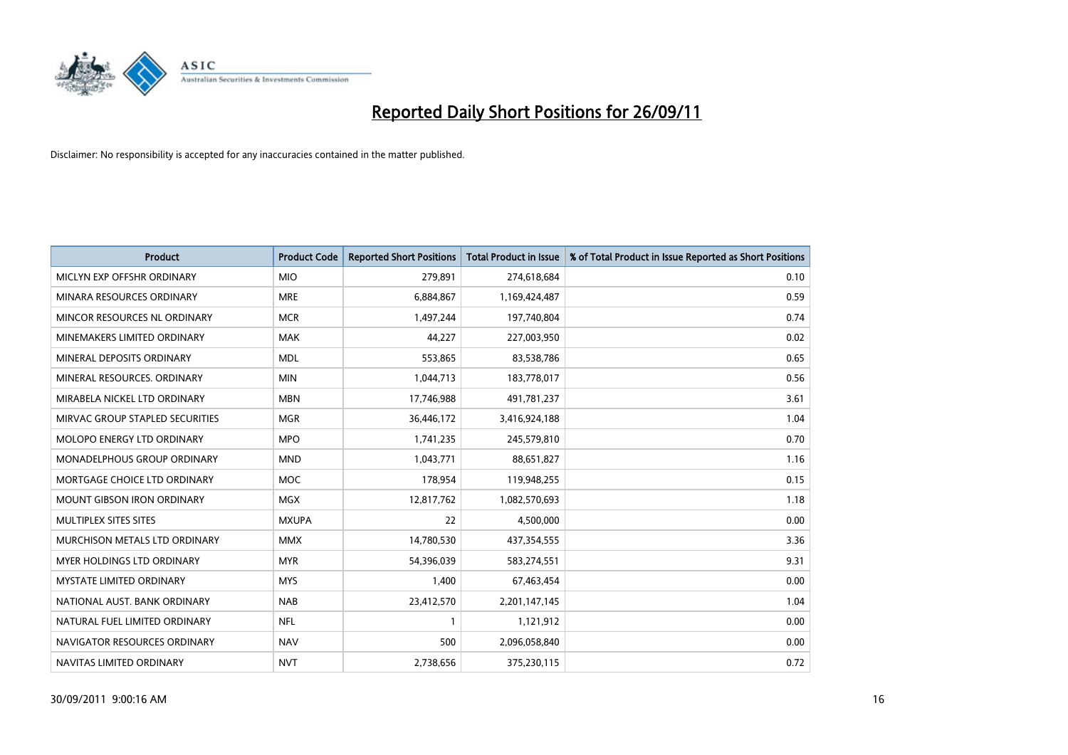

| <b>Product</b>                       | <b>Product Code</b> | <b>Reported Short Positions</b> | <b>Total Product in Issue</b> | % of Total Product in Issue Reported as Short Positions |
|--------------------------------------|---------------------|---------------------------------|-------------------------------|---------------------------------------------------------|
| MICLYN EXP OFFSHR ORDINARY           | <b>MIO</b>          | 279,891                         | 274,618,684                   | 0.10                                                    |
| MINARA RESOURCES ORDINARY            | <b>MRE</b>          | 6,884,867                       | 1,169,424,487                 | 0.59                                                    |
| MINCOR RESOURCES NL ORDINARY         | <b>MCR</b>          | 1,497,244                       | 197,740,804                   | 0.74                                                    |
| MINEMAKERS LIMITED ORDINARY          | <b>MAK</b>          | 44,227                          | 227,003,950                   | 0.02                                                    |
| MINERAL DEPOSITS ORDINARY            | <b>MDL</b>          | 553,865                         | 83,538,786                    | 0.65                                                    |
| MINERAL RESOURCES, ORDINARY          | <b>MIN</b>          | 1,044,713                       | 183,778,017                   | 0.56                                                    |
| MIRABELA NICKEL LTD ORDINARY         | <b>MBN</b>          | 17,746,988                      | 491,781,237                   | 3.61                                                    |
| MIRVAC GROUP STAPLED SECURITIES      | <b>MGR</b>          | 36,446,172                      | 3,416,924,188                 | 1.04                                                    |
| <b>MOLOPO ENERGY LTD ORDINARY</b>    | <b>MPO</b>          | 1,741,235                       | 245,579,810                   | 0.70                                                    |
| <b>MONADELPHOUS GROUP ORDINARY</b>   | <b>MND</b>          | 1,043,771                       | 88,651,827                    | 1.16                                                    |
| MORTGAGE CHOICE LTD ORDINARY         | <b>MOC</b>          | 178,954                         | 119,948,255                   | 0.15                                                    |
| <b>MOUNT GIBSON IRON ORDINARY</b>    | <b>MGX</b>          | 12,817,762                      | 1,082,570,693                 | 1.18                                                    |
| MULTIPLEX SITES SITES                | <b>MXUPA</b>        | 22                              | 4,500,000                     | 0.00                                                    |
| <b>MURCHISON METALS LTD ORDINARY</b> | <b>MMX</b>          | 14,780,530                      | 437,354,555                   | 3.36                                                    |
| <b>MYER HOLDINGS LTD ORDINARY</b>    | <b>MYR</b>          | 54,396,039                      | 583,274,551                   | 9.31                                                    |
| <b>MYSTATE LIMITED ORDINARY</b>      | <b>MYS</b>          | 1,400                           | 67,463,454                    | 0.00                                                    |
| NATIONAL AUST, BANK ORDINARY         | <b>NAB</b>          | 23,412,570                      | 2,201,147,145                 | 1.04                                                    |
| NATURAL FUEL LIMITED ORDINARY        | <b>NFL</b>          |                                 | 1,121,912                     | 0.00                                                    |
| NAVIGATOR RESOURCES ORDINARY         | <b>NAV</b>          | 500                             | 2,096,058,840                 | 0.00                                                    |
| NAVITAS LIMITED ORDINARY             | <b>NVT</b>          | 2,738,656                       | 375,230,115                   | 0.72                                                    |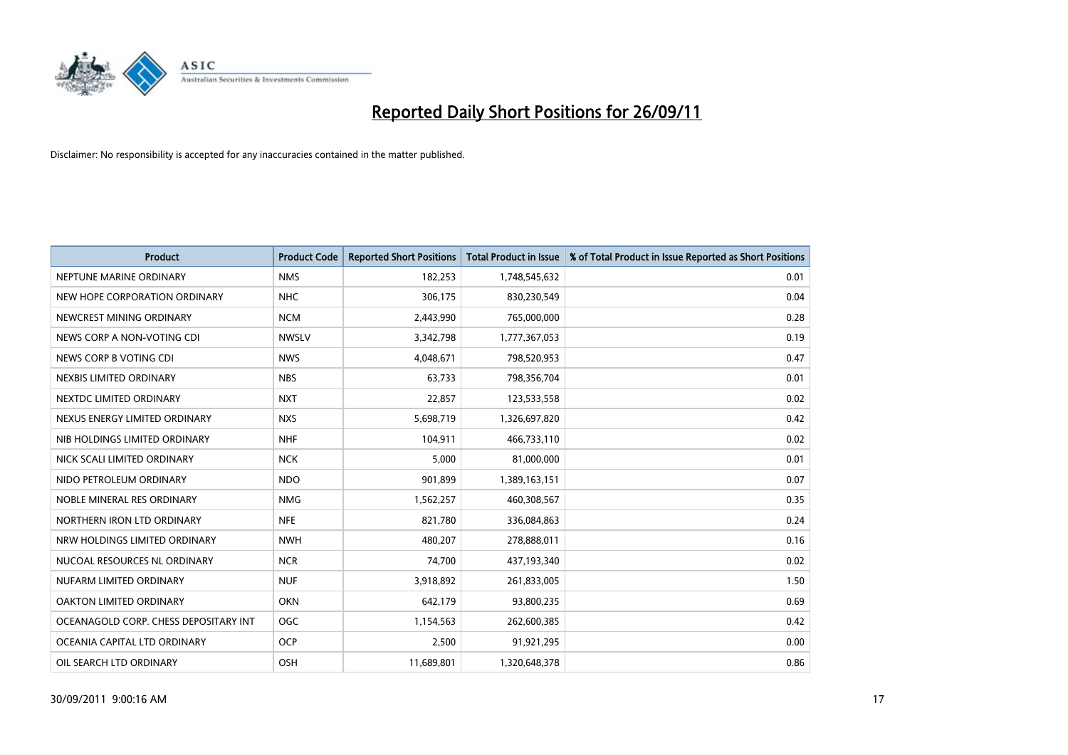

| <b>Product</b>                        | <b>Product Code</b> | <b>Reported Short Positions</b> | <b>Total Product in Issue</b> | % of Total Product in Issue Reported as Short Positions |
|---------------------------------------|---------------------|---------------------------------|-------------------------------|---------------------------------------------------------|
| NEPTUNE MARINE ORDINARY               | <b>NMS</b>          | 182,253                         | 1,748,545,632                 | 0.01                                                    |
| NEW HOPE CORPORATION ORDINARY         | <b>NHC</b>          | 306,175                         | 830,230,549                   | 0.04                                                    |
| NEWCREST MINING ORDINARY              | <b>NCM</b>          | 2,443,990                       | 765,000,000                   | 0.28                                                    |
| NEWS CORP A NON-VOTING CDI            | <b>NWSLV</b>        | 3,342,798                       | 1,777,367,053                 | 0.19                                                    |
| NEWS CORP B VOTING CDI                | <b>NWS</b>          | 4,048,671                       | 798,520,953                   | 0.47                                                    |
| NEXBIS LIMITED ORDINARY               | <b>NBS</b>          | 63,733                          | 798,356,704                   | 0.01                                                    |
| NEXTDC LIMITED ORDINARY               | <b>NXT</b>          | 22,857                          | 123,533,558                   | 0.02                                                    |
| NEXUS ENERGY LIMITED ORDINARY         | <b>NXS</b>          | 5,698,719                       | 1,326,697,820                 | 0.42                                                    |
| NIB HOLDINGS LIMITED ORDINARY         | <b>NHF</b>          | 104,911                         | 466,733,110                   | 0.02                                                    |
| NICK SCALI LIMITED ORDINARY           | <b>NCK</b>          | 5,000                           | 81,000,000                    | 0.01                                                    |
| NIDO PETROLEUM ORDINARY               | <b>NDO</b>          | 901,899                         | 1,389,163,151                 | 0.07                                                    |
| NOBLE MINERAL RES ORDINARY            | <b>NMG</b>          | 1,562,257                       | 460,308,567                   | 0.35                                                    |
| NORTHERN IRON LTD ORDINARY            | <b>NFE</b>          | 821,780                         | 336,084,863                   | 0.24                                                    |
| NRW HOLDINGS LIMITED ORDINARY         | <b>NWH</b>          | 480,207                         | 278,888,011                   | 0.16                                                    |
| NUCOAL RESOURCES NL ORDINARY          | <b>NCR</b>          | 74,700                          | 437,193,340                   | 0.02                                                    |
| NUFARM LIMITED ORDINARY               | <b>NUF</b>          | 3,918,892                       | 261,833,005                   | 1.50                                                    |
| OAKTON LIMITED ORDINARY               | <b>OKN</b>          | 642,179                         | 93,800,235                    | 0.69                                                    |
| OCEANAGOLD CORP. CHESS DEPOSITARY INT | <b>OGC</b>          | 1,154,563                       | 262,600,385                   | 0.42                                                    |
| OCEANIA CAPITAL LTD ORDINARY          | <b>OCP</b>          | 2.500                           | 91,921,295                    | 0.00                                                    |
| OIL SEARCH LTD ORDINARY               | <b>OSH</b>          | 11,689,801                      | 1,320,648,378                 | 0.86                                                    |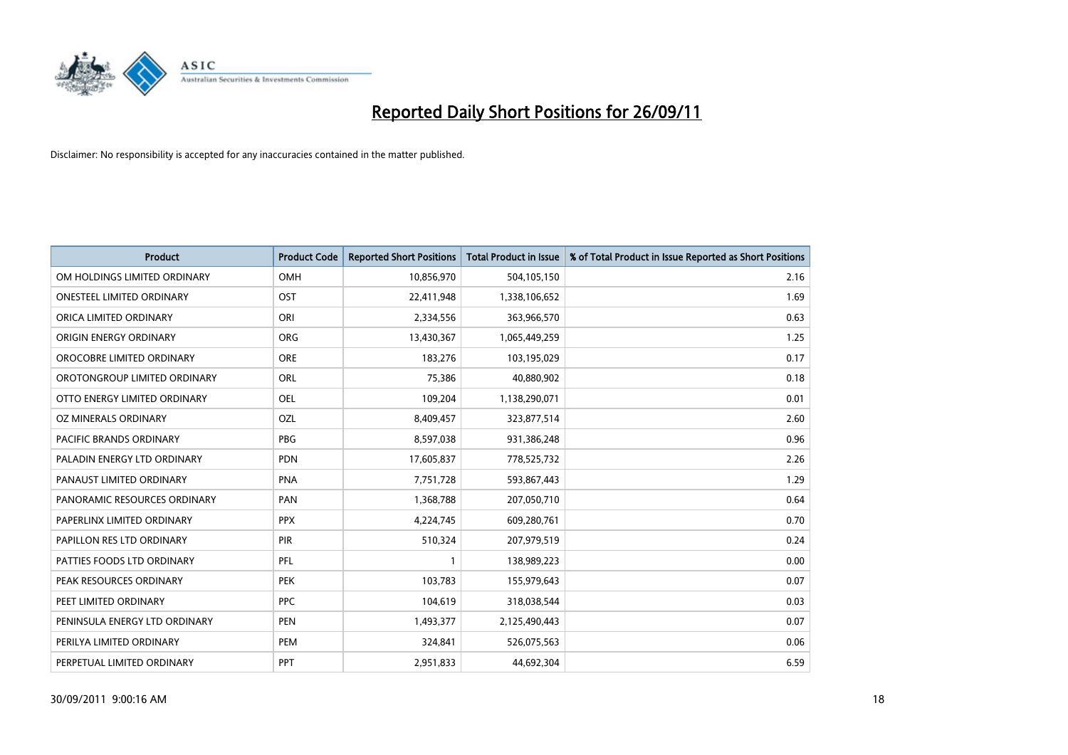

| <b>Product</b>                 | <b>Product Code</b> | <b>Reported Short Positions</b> | <b>Total Product in Issue</b> | % of Total Product in Issue Reported as Short Positions |
|--------------------------------|---------------------|---------------------------------|-------------------------------|---------------------------------------------------------|
| OM HOLDINGS LIMITED ORDINARY   | <b>OMH</b>          | 10,856,970                      | 504,105,150                   | 2.16                                                    |
| ONESTEEL LIMITED ORDINARY      | OST                 | 22,411,948                      | 1,338,106,652                 | 1.69                                                    |
| ORICA LIMITED ORDINARY         | ORI                 | 2,334,556                       | 363,966,570                   | 0.63                                                    |
| ORIGIN ENERGY ORDINARY         | <b>ORG</b>          | 13,430,367                      | 1,065,449,259                 | 1.25                                                    |
| OROCOBRE LIMITED ORDINARY      | <b>ORE</b>          | 183,276                         | 103,195,029                   | 0.17                                                    |
| OROTONGROUP LIMITED ORDINARY   | ORL                 | 75,386                          | 40,880,902                    | 0.18                                                    |
| OTTO ENERGY LIMITED ORDINARY   | OEL                 | 109,204                         | 1,138,290,071                 | 0.01                                                    |
| OZ MINERALS ORDINARY           | OZL                 | 8,409,457                       | 323,877,514                   | 2.60                                                    |
| <b>PACIFIC BRANDS ORDINARY</b> | <b>PBG</b>          | 8,597,038                       | 931,386,248                   | 0.96                                                    |
| PALADIN ENERGY LTD ORDINARY    | <b>PDN</b>          | 17,605,837                      | 778,525,732                   | 2.26                                                    |
| PANAUST LIMITED ORDINARY       | <b>PNA</b>          | 7,751,728                       | 593,867,443                   | 1.29                                                    |
| PANORAMIC RESOURCES ORDINARY   | PAN                 | 1,368,788                       | 207,050,710                   | 0.64                                                    |
| PAPERLINX LIMITED ORDINARY     | <b>PPX</b>          | 4,224,745                       | 609,280,761                   | 0.70                                                    |
| PAPILLON RES LTD ORDINARY      | PIR                 | 510,324                         | 207,979,519                   | 0.24                                                    |
| PATTIES FOODS LTD ORDINARY     | PFL                 |                                 | 138,989,223                   | 0.00                                                    |
| PEAK RESOURCES ORDINARY        | <b>PEK</b>          | 103,783                         | 155,979,643                   | 0.07                                                    |
| PEET LIMITED ORDINARY          | <b>PPC</b>          | 104,619                         | 318,038,544                   | 0.03                                                    |
| PENINSULA ENERGY LTD ORDINARY  | <b>PEN</b>          | 1,493,377                       | 2,125,490,443                 | 0.07                                                    |
| PERILYA LIMITED ORDINARY       | PEM                 | 324,841                         | 526,075,563                   | 0.06                                                    |
| PERPETUAL LIMITED ORDINARY     | PPT                 | 2,951,833                       | 44,692,304                    | 6.59                                                    |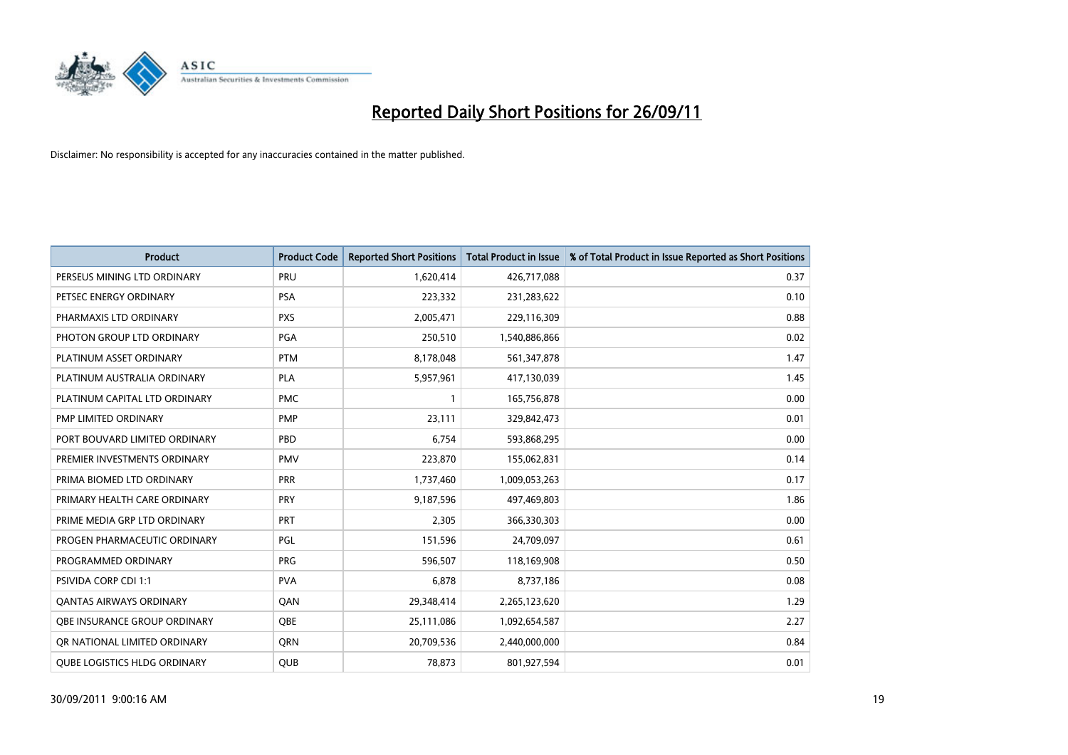

| <b>Product</b>                      | <b>Product Code</b> | <b>Reported Short Positions</b> | <b>Total Product in Issue</b> | % of Total Product in Issue Reported as Short Positions |
|-------------------------------------|---------------------|---------------------------------|-------------------------------|---------------------------------------------------------|
| PERSEUS MINING LTD ORDINARY         | PRU                 | 1,620,414                       | 426,717,088                   | 0.37                                                    |
| PETSEC ENERGY ORDINARY              | <b>PSA</b>          | 223,332                         | 231,283,622                   | 0.10                                                    |
| PHARMAXIS LTD ORDINARY              | <b>PXS</b>          | 2,005,471                       | 229,116,309                   | 0.88                                                    |
| PHOTON GROUP LTD ORDINARY           | PGA                 | 250,510                         | 1,540,886,866                 | 0.02                                                    |
| PLATINUM ASSET ORDINARY             | <b>PTM</b>          | 8,178,048                       | 561,347,878                   | 1.47                                                    |
| PLATINUM AUSTRALIA ORDINARY         | PLA                 | 5,957,961                       | 417,130,039                   | 1.45                                                    |
| PLATINUM CAPITAL LTD ORDINARY       | <b>PMC</b>          |                                 | 165,756,878                   | 0.00                                                    |
| PMP LIMITED ORDINARY                | <b>PMP</b>          | 23,111                          | 329,842,473                   | 0.01                                                    |
| PORT BOUVARD LIMITED ORDINARY       | PBD                 | 6,754                           | 593,868,295                   | 0.00                                                    |
| PREMIER INVESTMENTS ORDINARY        | <b>PMV</b>          | 223,870                         | 155,062,831                   | 0.14                                                    |
| PRIMA BIOMED LTD ORDINARY           | <b>PRR</b>          | 1,737,460                       | 1,009,053,263                 | 0.17                                                    |
| PRIMARY HEALTH CARE ORDINARY        | <b>PRY</b>          | 9,187,596                       | 497,469,803                   | 1.86                                                    |
| PRIME MEDIA GRP LTD ORDINARY        | PRT                 | 2,305                           | 366,330,303                   | 0.00                                                    |
| PROGEN PHARMACEUTIC ORDINARY        | PGL                 | 151,596                         | 24,709,097                    | 0.61                                                    |
| PROGRAMMED ORDINARY                 | <b>PRG</b>          | 596,507                         | 118,169,908                   | 0.50                                                    |
| PSIVIDA CORP CDI 1:1                | <b>PVA</b>          | 6,878                           | 8,737,186                     | 0.08                                                    |
| <b>QANTAS AIRWAYS ORDINARY</b>      | QAN                 | 29,348,414                      | 2,265,123,620                 | 1.29                                                    |
| <b>OBE INSURANCE GROUP ORDINARY</b> | <b>OBE</b>          | 25,111,086                      | 1,092,654,587                 | 2.27                                                    |
| OR NATIONAL LIMITED ORDINARY        | <b>ORN</b>          | 20,709,536                      | 2,440,000,000                 | 0.84                                                    |
| <b>QUBE LOGISTICS HLDG ORDINARY</b> | <b>QUB</b>          | 78,873                          | 801,927,594                   | 0.01                                                    |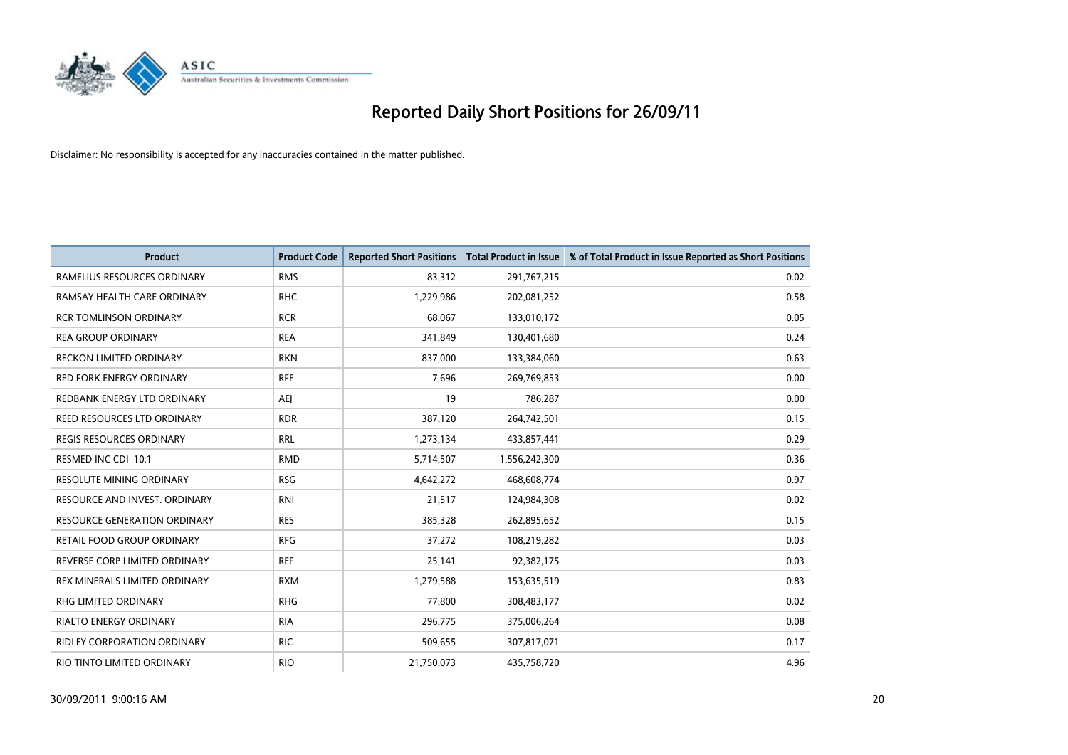

| <b>Product</b>                     | <b>Product Code</b> | <b>Reported Short Positions</b> | <b>Total Product in Issue</b> | % of Total Product in Issue Reported as Short Positions |
|------------------------------------|---------------------|---------------------------------|-------------------------------|---------------------------------------------------------|
| RAMELIUS RESOURCES ORDINARY        | <b>RMS</b>          | 83,312                          | 291,767,215                   | 0.02                                                    |
| RAMSAY HEALTH CARE ORDINARY        | <b>RHC</b>          | 1,229,986                       | 202,081,252                   | 0.58                                                    |
| <b>RCR TOMLINSON ORDINARY</b>      | <b>RCR</b>          | 68.067                          | 133,010,172                   | 0.05                                                    |
| <b>REA GROUP ORDINARY</b>          | <b>REA</b>          | 341,849                         | 130,401,680                   | 0.24                                                    |
| <b>RECKON LIMITED ORDINARY</b>     | <b>RKN</b>          | 837,000                         | 133,384,060                   | 0.63                                                    |
| <b>RED FORK ENERGY ORDINARY</b>    | <b>RFE</b>          | 7,696                           | 269,769,853                   | 0.00                                                    |
| REDBANK ENERGY LTD ORDINARY        | AEJ                 | 19                              | 786,287                       | 0.00                                                    |
| REED RESOURCES LTD ORDINARY        | <b>RDR</b>          | 387,120                         | 264,742,501                   | 0.15                                                    |
| <b>REGIS RESOURCES ORDINARY</b>    | <b>RRL</b>          | 1,273,134                       | 433,857,441                   | 0.29                                                    |
| RESMED INC CDI 10:1                | <b>RMD</b>          | 5,714,507                       | 1,556,242,300                 | 0.36                                                    |
| RESOLUTE MINING ORDINARY           | <b>RSG</b>          | 4,642,272                       | 468,608,774                   | 0.97                                                    |
| RESOURCE AND INVEST. ORDINARY      | <b>RNI</b>          | 21,517                          | 124,984,308                   | 0.02                                                    |
| RESOURCE GENERATION ORDINARY       | <b>RES</b>          | 385,328                         | 262,895,652                   | 0.15                                                    |
| RETAIL FOOD GROUP ORDINARY         | <b>RFG</b>          | 37,272                          | 108,219,282                   | 0.03                                                    |
| REVERSE CORP LIMITED ORDINARY      | <b>REF</b>          | 25,141                          | 92,382,175                    | 0.03                                                    |
| REX MINERALS LIMITED ORDINARY      | <b>RXM</b>          | 1,279,588                       | 153,635,519                   | 0.83                                                    |
| RHG LIMITED ORDINARY               | <b>RHG</b>          | 77,800                          | 308,483,177                   | 0.02                                                    |
| RIALTO ENERGY ORDINARY             | <b>RIA</b>          | 296,775                         | 375,006,264                   | 0.08                                                    |
| <b>RIDLEY CORPORATION ORDINARY</b> | <b>RIC</b>          | 509,655                         | 307,817,071                   | 0.17                                                    |
| RIO TINTO LIMITED ORDINARY         | <b>RIO</b>          | 21,750,073                      | 435,758,720                   | 4.96                                                    |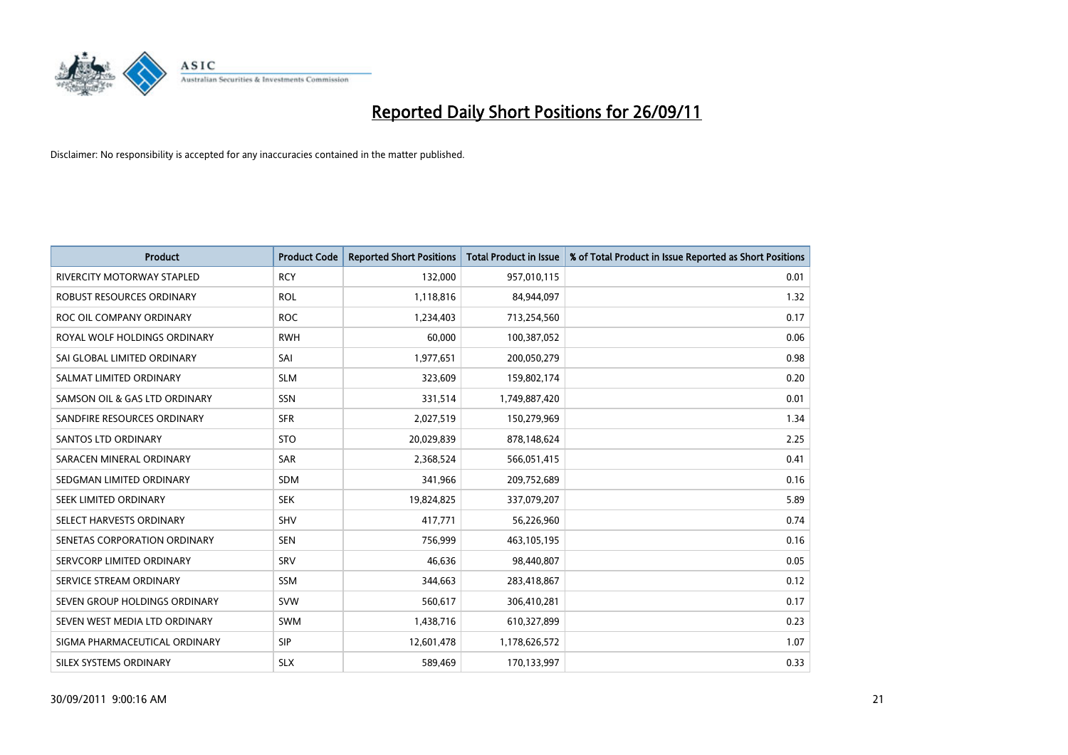

| <b>Product</b>                    | <b>Product Code</b> | <b>Reported Short Positions</b> | <b>Total Product in Issue</b> | % of Total Product in Issue Reported as Short Positions |
|-----------------------------------|---------------------|---------------------------------|-------------------------------|---------------------------------------------------------|
| <b>RIVERCITY MOTORWAY STAPLED</b> | <b>RCY</b>          | 132,000                         | 957,010,115                   | 0.01                                                    |
| ROBUST RESOURCES ORDINARY         | <b>ROL</b>          | 1,118,816                       | 84,944,097                    | 1.32                                                    |
| ROC OIL COMPANY ORDINARY          | <b>ROC</b>          | 1,234,403                       | 713,254,560                   | 0.17                                                    |
| ROYAL WOLF HOLDINGS ORDINARY      | <b>RWH</b>          | 60.000                          | 100,387,052                   | 0.06                                                    |
| SAI GLOBAL LIMITED ORDINARY       | SAI                 | 1,977,651                       | 200,050,279                   | 0.98                                                    |
| SALMAT LIMITED ORDINARY           | <b>SLM</b>          | 323,609                         | 159,802,174                   | 0.20                                                    |
| SAMSON OIL & GAS LTD ORDINARY     | SSN                 | 331,514                         | 1,749,887,420                 | 0.01                                                    |
| SANDFIRE RESOURCES ORDINARY       | <b>SFR</b>          | 2,027,519                       | 150,279,969                   | 1.34                                                    |
| SANTOS LTD ORDINARY               | <b>STO</b>          | 20,029,839                      | 878,148,624                   | 2.25                                                    |
| SARACEN MINERAL ORDINARY          | SAR                 | 2,368,524                       | 566,051,415                   | 0.41                                                    |
| SEDGMAN LIMITED ORDINARY          | SDM                 | 341,966                         | 209,752,689                   | 0.16                                                    |
| SEEK LIMITED ORDINARY             | <b>SEK</b>          | 19,824,825                      | 337,079,207                   | 5.89                                                    |
| SELECT HARVESTS ORDINARY          | SHV                 | 417,771                         | 56,226,960                    | 0.74                                                    |
| SENETAS CORPORATION ORDINARY      | <b>SEN</b>          | 756,999                         | 463,105,195                   | 0.16                                                    |
| SERVCORP LIMITED ORDINARY         | SRV                 | 46,636                          | 98,440,807                    | 0.05                                                    |
| SERVICE STREAM ORDINARY           | <b>SSM</b>          | 344,663                         | 283,418,867                   | 0.12                                                    |
| SEVEN GROUP HOLDINGS ORDINARY     | <b>SVW</b>          | 560,617                         | 306,410,281                   | 0.17                                                    |
| SEVEN WEST MEDIA LTD ORDINARY     | <b>SWM</b>          | 1,438,716                       | 610,327,899                   | 0.23                                                    |
| SIGMA PHARMACEUTICAL ORDINARY     | <b>SIP</b>          | 12,601,478                      | 1,178,626,572                 | 1.07                                                    |
| SILEX SYSTEMS ORDINARY            | <b>SLX</b>          | 589,469                         | 170,133,997                   | 0.33                                                    |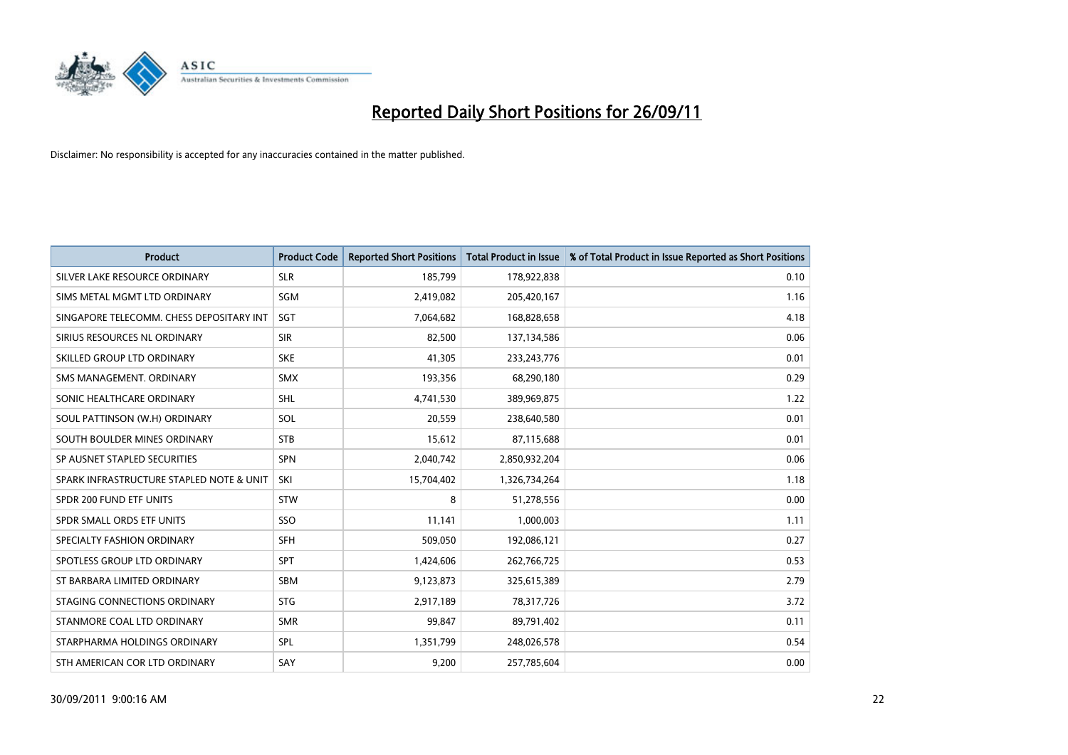

| <b>Product</b>                           | <b>Product Code</b> | <b>Reported Short Positions</b> | <b>Total Product in Issue</b> | % of Total Product in Issue Reported as Short Positions |
|------------------------------------------|---------------------|---------------------------------|-------------------------------|---------------------------------------------------------|
| SILVER LAKE RESOURCE ORDINARY            | <b>SLR</b>          | 185,799                         | 178,922,838                   | 0.10                                                    |
| SIMS METAL MGMT LTD ORDINARY             | SGM                 | 2,419,082                       | 205,420,167                   | 1.16                                                    |
| SINGAPORE TELECOMM. CHESS DEPOSITARY INT | <b>SGT</b>          | 7,064,682                       | 168,828,658                   | 4.18                                                    |
| SIRIUS RESOURCES NL ORDINARY             | <b>SIR</b>          | 82,500                          | 137,134,586                   | 0.06                                                    |
| SKILLED GROUP LTD ORDINARY               | <b>SKE</b>          | 41,305                          | 233, 243, 776                 | 0.01                                                    |
| SMS MANAGEMENT, ORDINARY                 | <b>SMX</b>          | 193,356                         | 68,290,180                    | 0.29                                                    |
| SONIC HEALTHCARE ORDINARY                | <b>SHL</b>          | 4,741,530                       | 389,969,875                   | 1.22                                                    |
| SOUL PATTINSON (W.H) ORDINARY            | SOL                 | 20,559                          | 238,640,580                   | 0.01                                                    |
| SOUTH BOULDER MINES ORDINARY             | <b>STB</b>          | 15,612                          | 87,115,688                    | 0.01                                                    |
| SP AUSNET STAPLED SECURITIES             | <b>SPN</b>          | 2,040,742                       | 2,850,932,204                 | 0.06                                                    |
| SPARK INFRASTRUCTURE STAPLED NOTE & UNIT | SKI                 | 15,704,402                      | 1,326,734,264                 | 1.18                                                    |
| SPDR 200 FUND ETF UNITS                  | <b>STW</b>          | 8                               | 51,278,556                    | 0.00                                                    |
| SPDR SMALL ORDS ETF UNITS                | SSO                 | 11,141                          | 1,000,003                     | 1.11                                                    |
| SPECIALTY FASHION ORDINARY               | <b>SFH</b>          | 509,050                         | 192,086,121                   | 0.27                                                    |
| SPOTLESS GROUP LTD ORDINARY              | <b>SPT</b>          | 1,424,606                       | 262,766,725                   | 0.53                                                    |
| ST BARBARA LIMITED ORDINARY              | <b>SBM</b>          | 9,123,873                       | 325,615,389                   | 2.79                                                    |
| STAGING CONNECTIONS ORDINARY             | <b>STG</b>          | 2,917,189                       | 78,317,726                    | 3.72                                                    |
| STANMORE COAL LTD ORDINARY               | <b>SMR</b>          | 99,847                          | 89,791,402                    | 0.11                                                    |
| STARPHARMA HOLDINGS ORDINARY             | SPL                 | 1,351,799                       | 248,026,578                   | 0.54                                                    |
| STH AMERICAN COR LTD ORDINARY            | SAY                 | 9,200                           | 257,785,604                   | 0.00                                                    |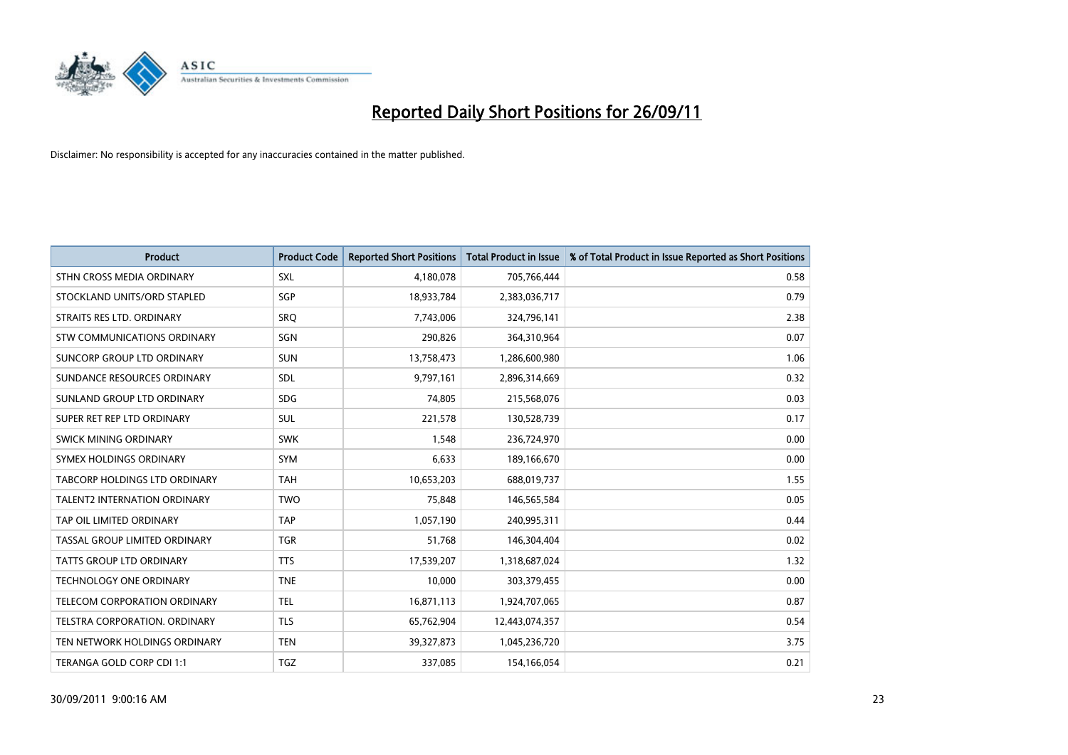

| <b>Product</b>                       | <b>Product Code</b> | <b>Reported Short Positions</b> | <b>Total Product in Issue</b> | % of Total Product in Issue Reported as Short Positions |
|--------------------------------------|---------------------|---------------------------------|-------------------------------|---------------------------------------------------------|
| STHN CROSS MEDIA ORDINARY            | <b>SXL</b>          | 4,180,078                       | 705,766,444                   | 0.58                                                    |
| STOCKLAND UNITS/ORD STAPLED          | <b>SGP</b>          | 18,933,784                      | 2,383,036,717                 | 0.79                                                    |
| STRAITS RES LTD. ORDINARY            | SRO                 | 7,743,006                       | 324,796,141                   | 2.38                                                    |
| STW COMMUNICATIONS ORDINARY          | SGN                 | 290,826                         | 364,310,964                   | 0.07                                                    |
| SUNCORP GROUP LTD ORDINARY           | <b>SUN</b>          | 13,758,473                      | 1,286,600,980                 | 1.06                                                    |
| SUNDANCE RESOURCES ORDINARY          | <b>SDL</b>          | 9,797,161                       | 2,896,314,669                 | 0.32                                                    |
| SUNLAND GROUP LTD ORDINARY           | <b>SDG</b>          | 74,805                          | 215,568,076                   | 0.03                                                    |
| SUPER RET REP LTD ORDINARY           | <b>SUL</b>          | 221,578                         | 130,528,739                   | 0.17                                                    |
| SWICK MINING ORDINARY                | <b>SWK</b>          | 1,548                           | 236,724,970                   | 0.00                                                    |
| SYMEX HOLDINGS ORDINARY              | <b>SYM</b>          | 6,633                           | 189,166,670                   | 0.00                                                    |
| <b>TABCORP HOLDINGS LTD ORDINARY</b> | <b>TAH</b>          | 10,653,203                      | 688,019,737                   | 1.55                                                    |
| <b>TALENT2 INTERNATION ORDINARY</b>  | <b>TWO</b>          | 75,848                          | 146,565,584                   | 0.05                                                    |
| TAP OIL LIMITED ORDINARY             | <b>TAP</b>          | 1,057,190                       | 240,995,311                   | 0.44                                                    |
| TASSAL GROUP LIMITED ORDINARY        | <b>TGR</b>          | 51,768                          | 146,304,404                   | 0.02                                                    |
| <b>TATTS GROUP LTD ORDINARY</b>      | <b>TTS</b>          | 17,539,207                      | 1,318,687,024                 | 1.32                                                    |
| <b>TECHNOLOGY ONE ORDINARY</b>       | <b>TNE</b>          | 10,000                          | 303,379,455                   | 0.00                                                    |
| TELECOM CORPORATION ORDINARY         | <b>TEL</b>          | 16,871,113                      | 1,924,707,065                 | 0.87                                                    |
| TELSTRA CORPORATION. ORDINARY        | <b>TLS</b>          | 65,762,904                      | 12,443,074,357                | 0.54                                                    |
| TEN NETWORK HOLDINGS ORDINARY        | <b>TEN</b>          | 39,327,873                      | 1,045,236,720                 | 3.75                                                    |
| TERANGA GOLD CORP CDI 1:1            | <b>TGZ</b>          | 337,085                         | 154,166,054                   | 0.21                                                    |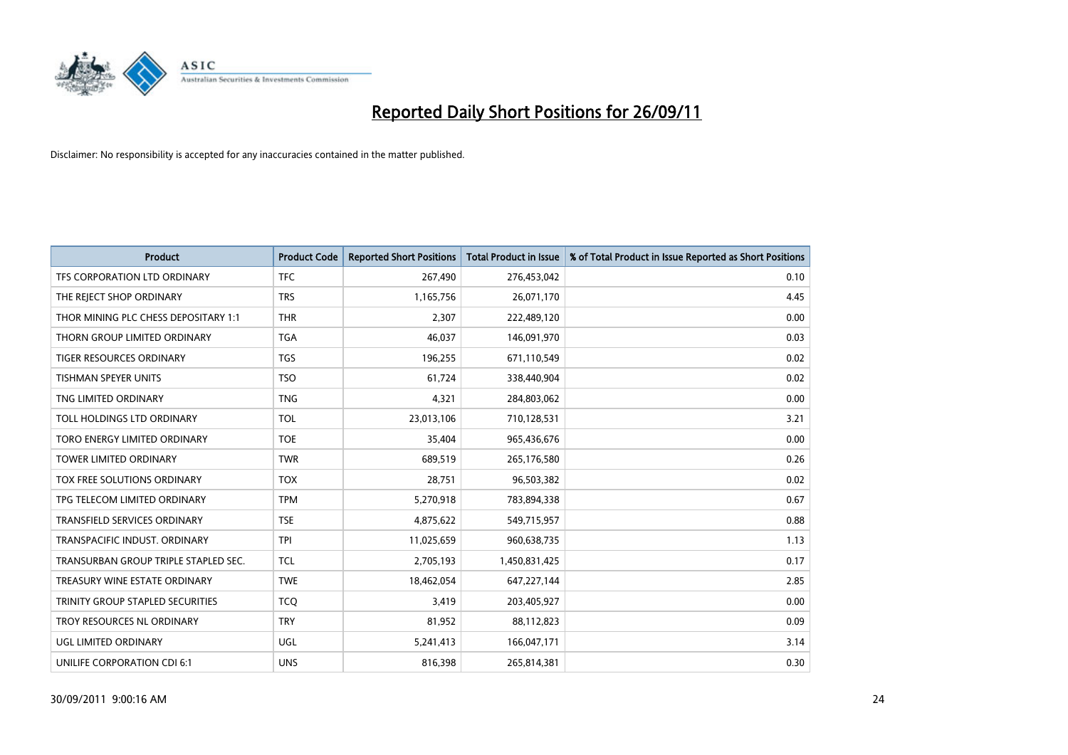

| <b>Product</b>                          | <b>Product Code</b> | <b>Reported Short Positions</b> | <b>Total Product in Issue</b> | % of Total Product in Issue Reported as Short Positions |
|-----------------------------------------|---------------------|---------------------------------|-------------------------------|---------------------------------------------------------|
| TFS CORPORATION LTD ORDINARY            | <b>TFC</b>          | 267,490                         | 276,453,042                   | 0.10                                                    |
| THE REJECT SHOP ORDINARY                | <b>TRS</b>          | 1,165,756                       | 26,071,170                    | 4.45                                                    |
| THOR MINING PLC CHESS DEPOSITARY 1:1    | <b>THR</b>          | 2,307                           | 222,489,120                   | 0.00                                                    |
| THORN GROUP LIMITED ORDINARY            | <b>TGA</b>          | 46,037                          | 146,091,970                   | 0.03                                                    |
| <b>TIGER RESOURCES ORDINARY</b>         | <b>TGS</b>          | 196,255                         | 671,110,549                   | 0.02                                                    |
| <b>TISHMAN SPEYER UNITS</b>             | <b>TSO</b>          | 61,724                          | 338,440,904                   | 0.02                                                    |
| TNG LIMITED ORDINARY                    | <b>TNG</b>          | 4,321                           | 284,803,062                   | 0.00                                                    |
| TOLL HOLDINGS LTD ORDINARY              | <b>TOL</b>          | 23,013,106                      | 710,128,531                   | 3.21                                                    |
| TORO ENERGY LIMITED ORDINARY            | <b>TOE</b>          | 35,404                          | 965,436,676                   | 0.00                                                    |
| <b>TOWER LIMITED ORDINARY</b>           | <b>TWR</b>          | 689,519                         | 265,176,580                   | 0.26                                                    |
| TOX FREE SOLUTIONS ORDINARY             | <b>TOX</b>          | 28,751                          | 96,503,382                    | 0.02                                                    |
| TPG TELECOM LIMITED ORDINARY            | <b>TPM</b>          | 5,270,918                       | 783,894,338                   | 0.67                                                    |
| TRANSFIELD SERVICES ORDINARY            | <b>TSE</b>          | 4,875,622                       | 549,715,957                   | 0.88                                                    |
| TRANSPACIFIC INDUST, ORDINARY           | <b>TPI</b>          | 11,025,659                      | 960,638,735                   | 1.13                                                    |
| TRANSURBAN GROUP TRIPLE STAPLED SEC.    | <b>TCL</b>          | 2,705,193                       | 1,450,831,425                 | 0.17                                                    |
| TREASURY WINE ESTATE ORDINARY           | <b>TWE</b>          | 18,462,054                      | 647,227,144                   | 2.85                                                    |
| <b>TRINITY GROUP STAPLED SECURITIES</b> | <b>TCO</b>          | 3,419                           | 203,405,927                   | 0.00                                                    |
| TROY RESOURCES NL ORDINARY              | <b>TRY</b>          | 81,952                          | 88,112,823                    | 0.09                                                    |
| UGL LIMITED ORDINARY                    | UGL                 | 5,241,413                       | 166,047,171                   | 3.14                                                    |
| UNILIFE CORPORATION CDI 6:1             | <b>UNS</b>          | 816,398                         | 265,814,381                   | 0.30                                                    |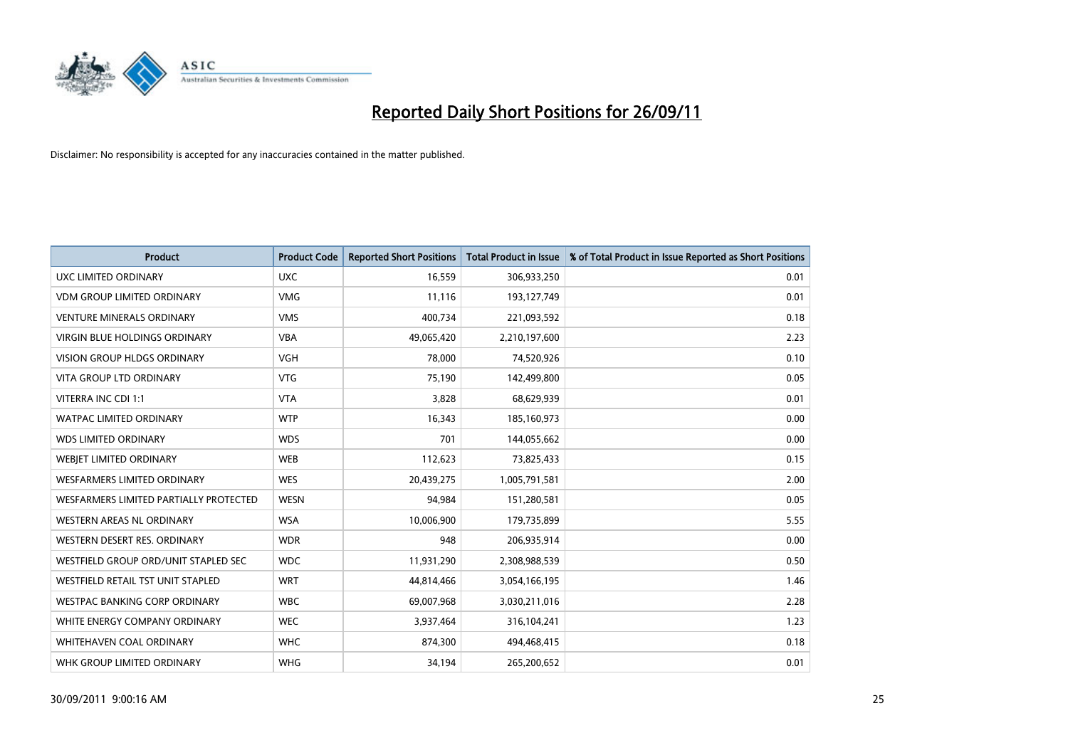

| <b>Product</b>                         | <b>Product Code</b> | <b>Reported Short Positions</b> | <b>Total Product in Issue</b> | % of Total Product in Issue Reported as Short Positions |
|----------------------------------------|---------------------|---------------------------------|-------------------------------|---------------------------------------------------------|
| <b>UXC LIMITED ORDINARY</b>            | <b>UXC</b>          | 16,559                          | 306,933,250                   | 0.01                                                    |
| <b>VDM GROUP LIMITED ORDINARY</b>      | <b>VMG</b>          | 11,116                          | 193,127,749                   | 0.01                                                    |
| <b>VENTURE MINERALS ORDINARY</b>       | <b>VMS</b>          | 400,734                         | 221,093,592                   | 0.18                                                    |
| VIRGIN BLUE HOLDINGS ORDINARY          | <b>VBA</b>          | 49,065,420                      | 2,210,197,600                 | 2.23                                                    |
| <b>VISION GROUP HLDGS ORDINARY</b>     | <b>VGH</b>          | 78,000                          | 74,520,926                    | 0.10                                                    |
| <b>VITA GROUP LTD ORDINARY</b>         | <b>VTG</b>          | 75,190                          | 142,499,800                   | 0.05                                                    |
| VITERRA INC CDI 1:1                    | <b>VTA</b>          | 3,828                           | 68,629,939                    | 0.01                                                    |
| WATPAC LIMITED ORDINARY                | <b>WTP</b>          | 16,343                          | 185,160,973                   | 0.00                                                    |
| <b>WDS LIMITED ORDINARY</b>            | <b>WDS</b>          | 701                             | 144,055,662                   | 0.00                                                    |
| WEBIET LIMITED ORDINARY                | <b>WEB</b>          | 112,623                         | 73,825,433                    | 0.15                                                    |
| WESFARMERS LIMITED ORDINARY            | <b>WES</b>          | 20,439,275                      | 1,005,791,581                 | 2.00                                                    |
| WESFARMERS LIMITED PARTIALLY PROTECTED | <b>WESN</b>         | 94,984                          | 151,280,581                   | 0.05                                                    |
| WESTERN AREAS NL ORDINARY              | <b>WSA</b>          | 10,006,900                      | 179,735,899                   | 5.55                                                    |
| WESTERN DESERT RES. ORDINARY           | <b>WDR</b>          | 948                             | 206,935,914                   | 0.00                                                    |
| WESTFIELD GROUP ORD/UNIT STAPLED SEC   | <b>WDC</b>          | 11,931,290                      | 2,308,988,539                 | 0.50                                                    |
| WESTFIELD RETAIL TST UNIT STAPLED      | <b>WRT</b>          | 44,814,466                      | 3,054,166,195                 | 1.46                                                    |
| WESTPAC BANKING CORP ORDINARY          | <b>WBC</b>          | 69,007,968                      | 3,030,211,016                 | 2.28                                                    |
| WHITE ENERGY COMPANY ORDINARY          | <b>WEC</b>          | 3,937,464                       | 316,104,241                   | 1.23                                                    |
| <b>WHITEHAVEN COAL ORDINARY</b>        | <b>WHC</b>          | 874,300                         | 494,468,415                   | 0.18                                                    |
| WHK GROUP LIMITED ORDINARY             | <b>WHG</b>          | 34,194                          | 265,200,652                   | 0.01                                                    |